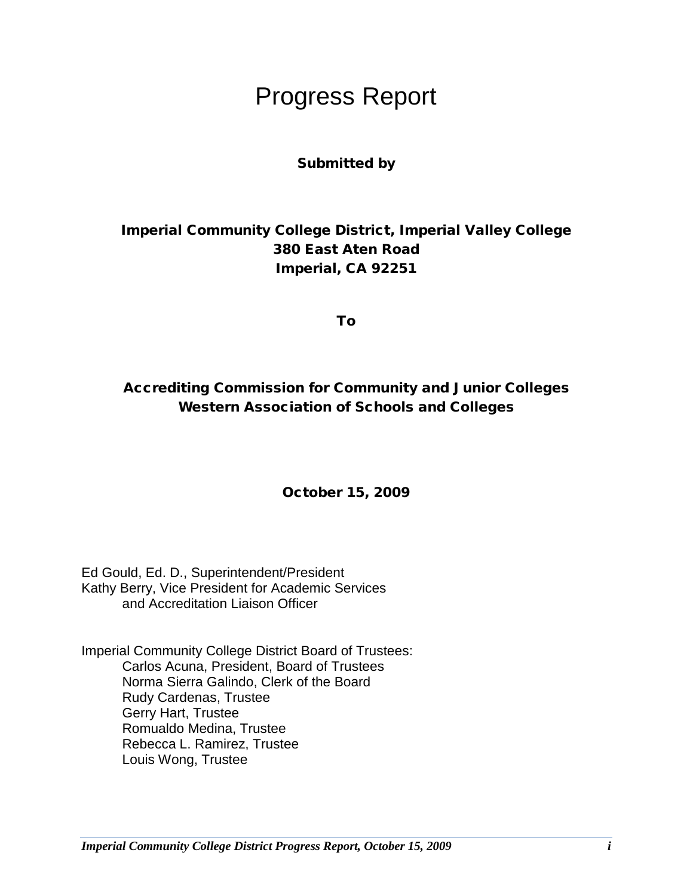# Progress Report

### Submitted by

### Imperial Community College District, Imperial Valley College 380 East Aten Road Imperial, CA 92251

To

### Accrediting Commission for Community and Junior Colleges Western Association of Schools and Colleges

### October 15, 2009

Ed Gould, Ed. D., Superintendent/President Kathy Berry, Vice President for Academic Services and Accreditation Liaison Officer

Imperial Community College District Board of Trustees: Carlos Acuna, President, Board of Trustees Norma Sierra Galindo, Clerk of the Board Rudy Cardenas, Trustee Gerry Hart, Trustee Romualdo Medina, Trustee Rebecca L. Ramirez, Trustee Louis Wong, Trustee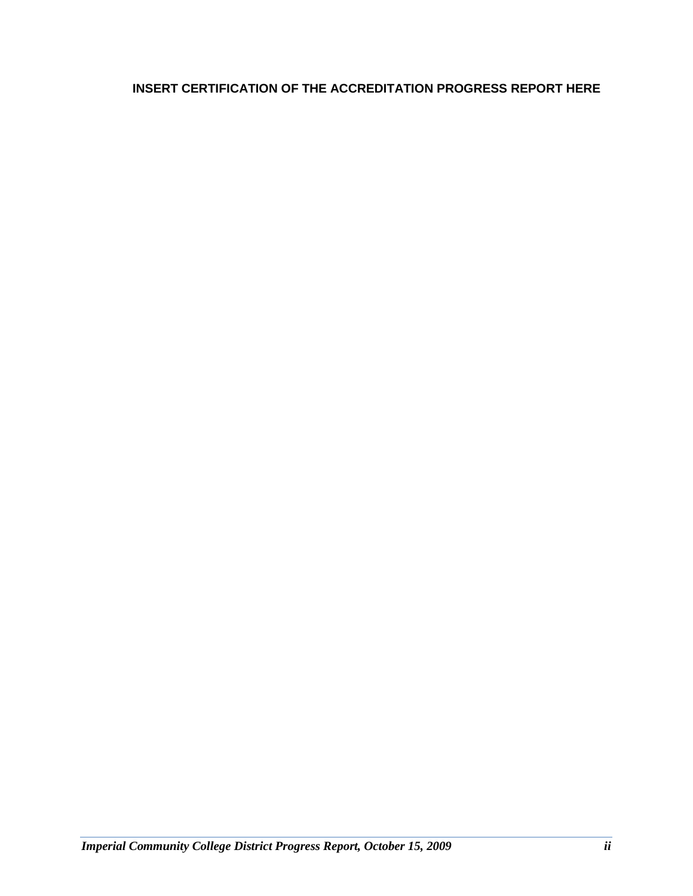### **INSERT CERTIFICATION OF THE ACCREDITATION PROGRESS REPORT HERE**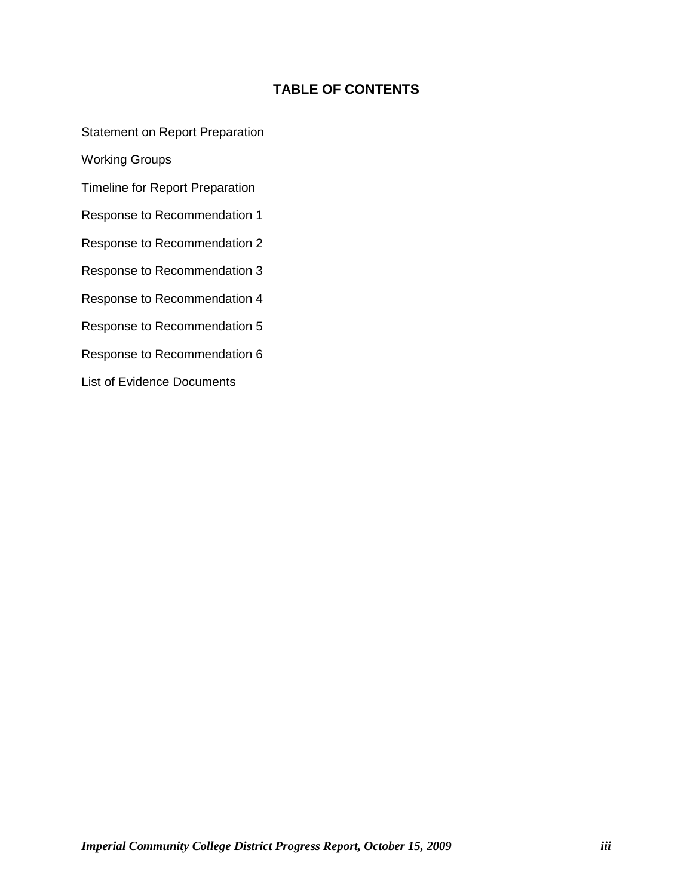### **TABLE OF CONTENTS**

Statement on Report Preparation

Working Groups

Timeline for Report Preparation

Response to Recommendation 1

Response to Recommendation 2

Response to Recommendation 3

Response to Recommendation 4

Response to Recommendation 5

Response to Recommendation 6

List of Evidence Documents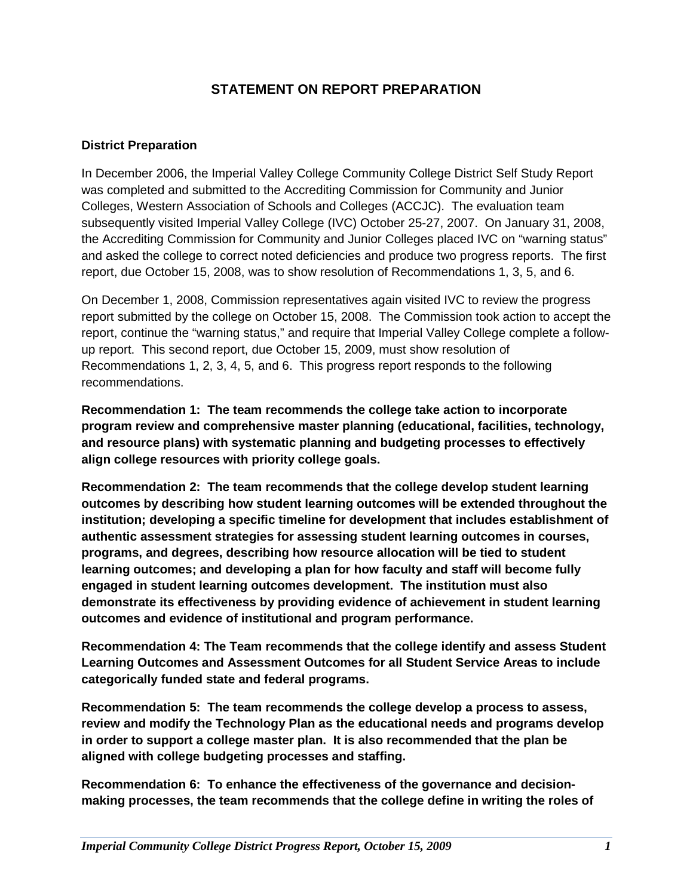### **STATEMENT ON REPORT PREPARATION**

### **District Preparation**

In December 2006, the Imperial Valley College Community College District Self Study Report was completed and submitted to the Accrediting Commission for Community and Junior Colleges, Western Association of Schools and Colleges (ACCJC). The evaluation team subsequently visited Imperial Valley College (IVC) October 25-27, 2007. On January 31, 2008, the Accrediting Commission for Community and Junior Colleges placed IVC on "warning status" and asked the college to correct noted deficiencies and produce two progress reports. The first report, due October 15, 2008, was to show resolution of Recommendations 1, 3, 5, and 6.

On December 1, 2008, Commission representatives again visited IVC to review the progress report submitted by the college on October 15, 2008. The Commission took action to accept the report, continue the "warning status," and require that Imperial Valley College complete a followup report. This second report, due October 15, 2009, must show resolution of Recommendations 1, 2, 3, 4, 5, and 6. This progress report responds to the following recommendations.

**Recommendation 1: The team recommends the college take action to incorporate program review and comprehensive master planning (educational, facilities, technology, and resource plans) with systematic planning and budgeting processes to effectively align college resources with priority college goals.** 

**Recommendation 2: The team recommends that the college develop student learning outcomes by describing how student learning outcomes will be extended throughout the institution; developing a specific timeline for development that includes establishment of authentic assessment strategies for assessing student learning outcomes in courses, programs, and degrees, describing how resource allocation will be tied to student learning outcomes; and developing a plan for how faculty and staff will become fully engaged in student learning outcomes development. The institution must also demonstrate its effectiveness by providing evidence of achievement in student learning outcomes and evidence of institutional and program performance.** 

**Recommendation 4: The Team recommends that the college identify and assess Student Learning Outcomes and Assessment Outcomes for all Student Service Areas to include categorically funded state and federal programs.**

**Recommendation 5: The team recommends the college develop a process to assess, review and modify the Technology Plan as the educational needs and programs develop in order to support a college master plan. It is also recommended that the plan be aligned with college budgeting processes and staffing.**

**Recommendation 6: To enhance the effectiveness of the governance and decisionmaking processes, the team recommends that the college define in writing the roles of**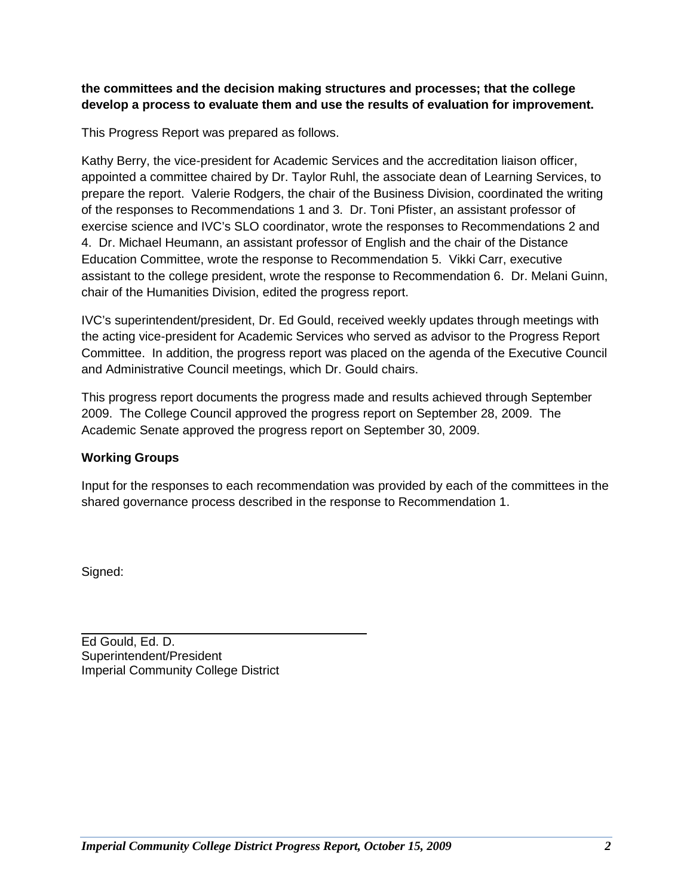### **the committees and the decision making structures and processes; that the college develop a process to evaluate them and use the results of evaluation for improvement.**

This Progress Report was prepared as follows.

Kathy Berry, the vice-president for Academic Services and the accreditation liaison officer, appointed a committee chaired by Dr. Taylor Ruhl, the associate dean of Learning Services, to prepare the report. Valerie Rodgers, the chair of the Business Division, coordinated the writing of the responses to Recommendations 1 and 3. Dr. Toni Pfister, an assistant professor of exercise science and IVC's SLO coordinator, wrote the responses to Recommendations 2 and 4. Dr. Michael Heumann, an assistant professor of English and the chair of the Distance Education Committee, wrote the response to Recommendation 5. Vikki Carr, executive assistant to the college president, wrote the response to Recommendation 6. Dr. Melani Guinn, chair of the Humanities Division, edited the progress report.

IVC's superintendent/president, Dr. Ed Gould, received weekly updates through meetings with the acting vice-president for Academic Services who served as advisor to the Progress Report Committee. In addition, the progress report was placed on the agenda of the Executive Council and Administrative Council meetings, which Dr. Gould chairs.

This progress report documents the progress made and results achieved through September 2009. The College Council approved the progress report on September 28, 2009. The Academic Senate approved the progress report on September 30, 2009.

### **Working Groups**

Input for the responses to each recommendation was provided by each of the committees in the shared governance process described in the response to Recommendation 1.

Signed:

Ed Gould, Ed. D. Superintendent/President Imperial Community College District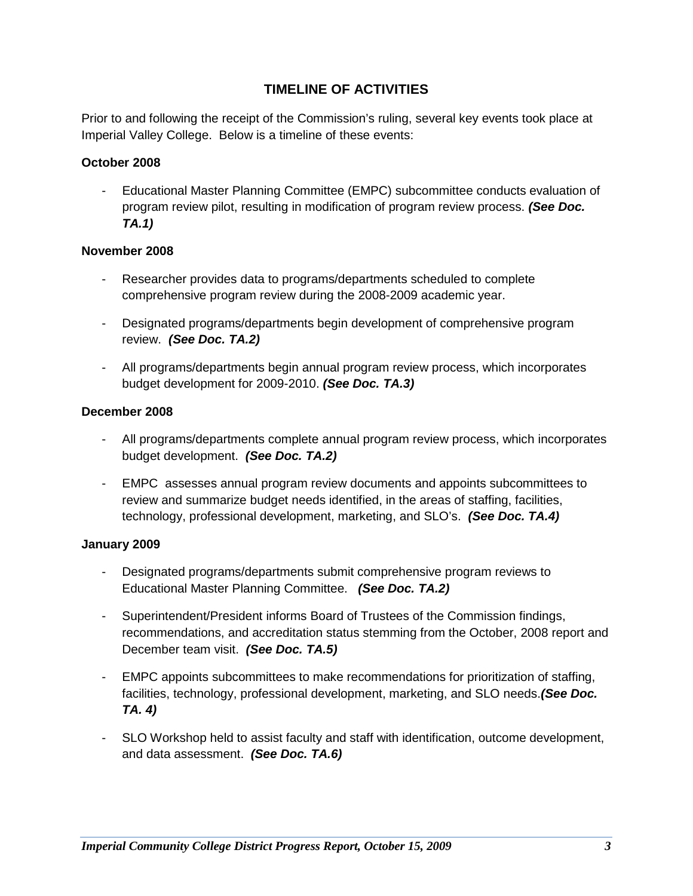### **TIMELINE OF ACTIVITIES**

Prior to and following the receipt of the Commission's ruling, several key events took place at Imperial Valley College. Below is a timeline of these events:

### **October 2008**

- Educational Master Planning Committee (EMPC) subcommittee conducts evaluation of program review pilot, resulting in modification of program review process. *(See Doc. TA.1)*

### **November 2008**

- Researcher provides data to programs/departments scheduled to complete comprehensive program review during the 2008-2009 academic year.
- Designated programs/departments begin development of comprehensive program review. *(See Doc. TA.2)*
- All programs/departments begin annual program review process, which incorporates budget development for 2009-2010. *(See Doc. TA.3)*

### **December 2008**

- All programs/departments complete annual program review process, which incorporates budget development. *(See Doc. TA.2)*
- EMPC assesses annual program review documents and appoints subcommittees to review and summarize budget needs identified, in the areas of staffing, facilities, technology, professional development, marketing, and SLO's. *(See Doc. TA.4)*

### **January 2009**

- Designated programs/departments submit comprehensive program reviews to Educational Master Planning Committee. *(See Doc. TA.2)*
- Superintendent/President informs Board of Trustees of the Commission findings, recommendations, and accreditation status stemming from the October, 2008 report and December team visit. *(See Doc. TA.5)*
- EMPC appoints subcommittees to make recommendations for prioritization of staffing, facilities, technology, professional development, marketing, and SLO needs.*(See Doc. TA. 4)*
- SLO Workshop held to assist faculty and staff with identification, outcome development, and data assessment. *(See Doc. TA.6)*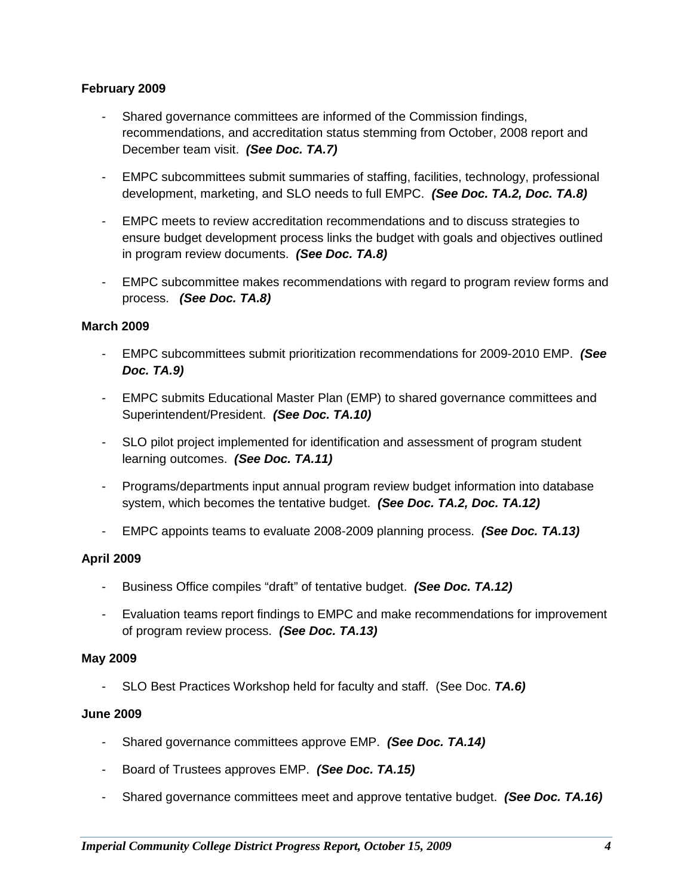### **February 2009**

- Shared governance committees are informed of the Commission findings, recommendations, and accreditation status stemming from October, 2008 report and December team visit. *(See Doc. TA.7)*
- EMPC subcommittees submit summaries of staffing, facilities, technology, professional development, marketing, and SLO needs to full EMPC. *(See Doc. TA.2, Doc. TA.8)*
- EMPC meets to review accreditation recommendations and to discuss strategies to ensure budget development process links the budget with goals and objectives outlined in program review documents. *(See Doc. TA.8)*
- EMPC subcommittee makes recommendations with regard to program review forms and process. *(See Doc. TA.8)*

### **March 2009**

- EMPC subcommittees submit prioritization recommendations for 2009-2010 EMP. *(See Doc. TA.9)*
- EMPC submits Educational Master Plan (EMP) to shared governance committees and Superintendent/President. *(See Doc. TA.10)*
- SLO pilot project implemented for identification and assessment of program student learning outcomes. *(See Doc. TA.11)*
- Programs/departments input annual program review budget information into database system, which becomes the tentative budget. *(See Doc. TA.2, Doc. TA.12)*
- EMPC appoints teams to evaluate 2008-2009 planning process. *(See Doc. TA.13)*

### **April 2009**

- Business Office compiles "draft" of tentative budget. *(See Doc. TA.12)*
- Evaluation teams report findings to EMPC and make recommendations for improvement of program review process. *(See Doc. TA.13)*

### **May 2009**

- SLO Best Practices Workshop held for faculty and staff. (See Doc. *TA.6)*

### **June 2009**

- Shared governance committees approve EMP. *(See Doc. TA.14)*
- Board of Trustees approves EMP. *(See Doc. TA.15)*
- Shared governance committees meet and approve tentative budget. *(See Doc. TA.16)*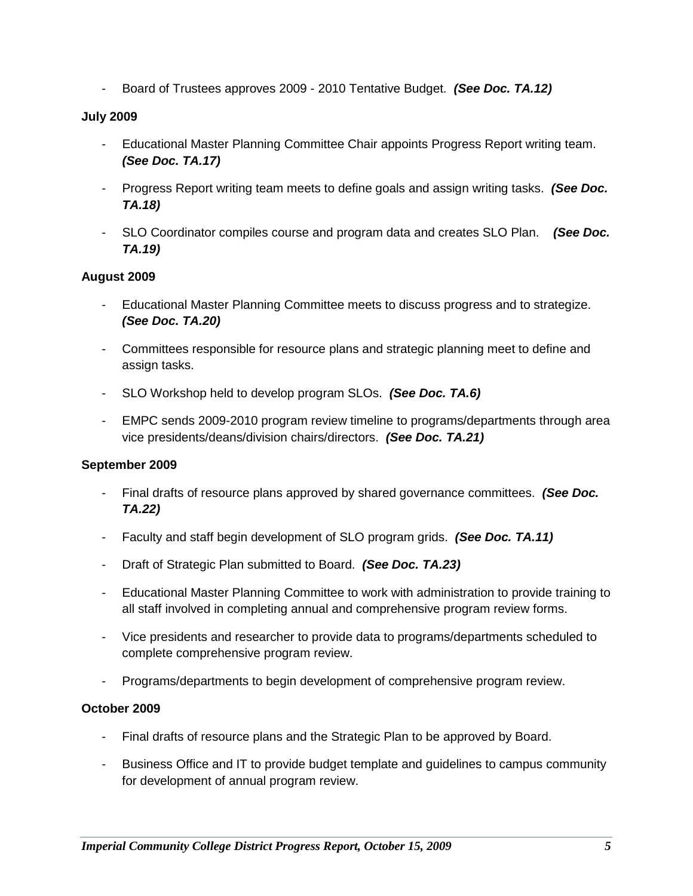- Board of Trustees approves 2009 - 2010 Tentative Budget. *(See Doc. TA.12)*

### **July 2009**

- Educational Master Planning Committee Chair appoints Progress Report writing team. *(See Doc. TA.17)*
- Progress Report writing team meets to define goals and assign writing tasks. *(See Doc. TA.18)*
- SLO Coordinator compiles course and program data and creates SLO Plan. *(See Doc. TA.19)*

### **August 2009**

- Educational Master Planning Committee meets to discuss progress and to strategize. *(See Doc. TA.20)*
- Committees responsible for resource plans and strategic planning meet to define and assign tasks.
- SLO Workshop held to develop program SLOs. *(See Doc. TA.6)*
- EMPC sends 2009-2010 program review timeline to programs/departments through area vice presidents/deans/division chairs/directors. *(See Doc. TA.21)*

### **September 2009**

- Final drafts of resource plans approved by shared governance committees. *(See Doc. TA.22)*
- Faculty and staff begin development of SLO program grids. *(See Doc. TA.11)*
- Draft of Strategic Plan submitted to Board. *(See Doc. TA.23)*
- Educational Master Planning Committee to work with administration to provide training to all staff involved in completing annual and comprehensive program review forms.
- Vice presidents and researcher to provide data to programs/departments scheduled to complete comprehensive program review.
- Programs/departments to begin development of comprehensive program review.

### **October 2009**

- Final drafts of resource plans and the Strategic Plan to be approved by Board.
- Business Office and IT to provide budget template and guidelines to campus community for development of annual program review.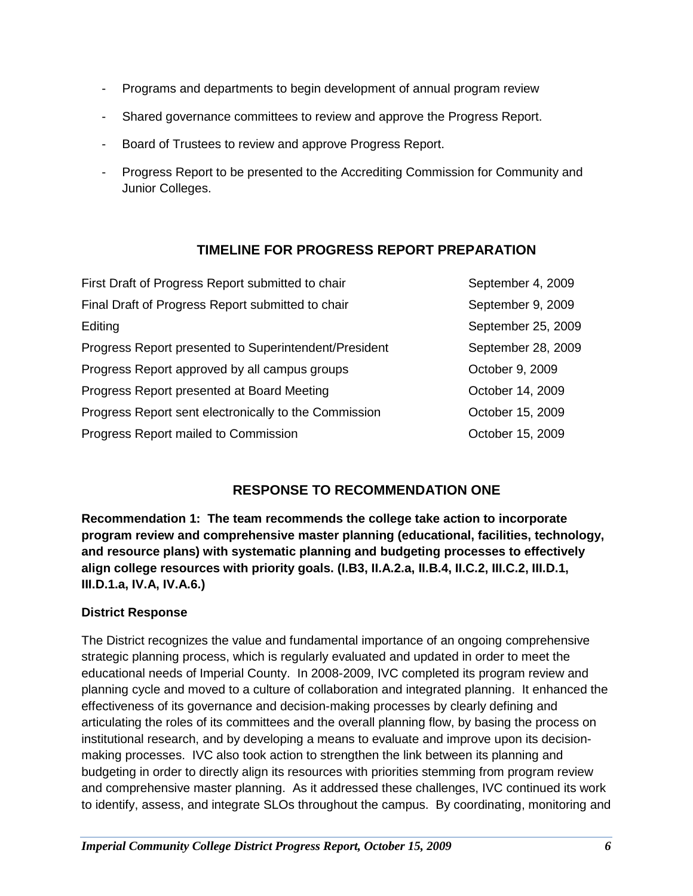- Programs and departments to begin development of annual program review
- Shared governance committees to review and approve the Progress Report.
- Board of Trustees to review and approve Progress Report.
- Progress Report to be presented to the Accrediting Commission for Community and Junior Colleges.

### **TIMELINE FOR PROGRESS REPORT PREPARATION**

| First Draft of Progress Report submitted to chair     | September 4, 2009  |
|-------------------------------------------------------|--------------------|
| Final Draft of Progress Report submitted to chair     | September 9, 2009  |
| Editing                                               | September 25, 2009 |
| Progress Report presented to Superintendent/President | September 28, 2009 |
| Progress Report approved by all campus groups         | October 9, 2009    |
| Progress Report presented at Board Meeting            | October 14, 2009   |
| Progress Report sent electronically to the Commission | October 15, 2009   |
| Progress Report mailed to Commission                  | October 15, 2009   |

### **RESPONSE TO RECOMMENDATION ONE**

**Recommendation 1: The team recommends the college take action to incorporate program review and comprehensive master planning (educational, facilities, technology, and resource plans) with systematic planning and budgeting processes to effectively align college resources with priority goals. (I.B3, II.A.2.a, II.B.4, II.C.2, III.C.2, III.D.1, III.D.1.a, IV.A, IV.A.6.)**

### **District Response**

The District recognizes the value and fundamental importance of an ongoing comprehensive strategic planning process, which is regularly evaluated and updated in order to meet the educational needs of Imperial County. In 2008-2009, IVC completed its program review and planning cycle and moved to a culture of collaboration and integrated planning. It enhanced the effectiveness of its governance and decision-making processes by clearly defining and articulating the roles of its committees and the overall planning flow, by basing the process on institutional research, and by developing a means to evaluate and improve upon its decisionmaking processes. IVC also took action to strengthen the link between its planning and budgeting in order to directly align its resources with priorities stemming from program review and comprehensive master planning. As it addressed these challenges, IVC continued its work to identify, assess, and integrate SLOs throughout the campus. By coordinating, monitoring and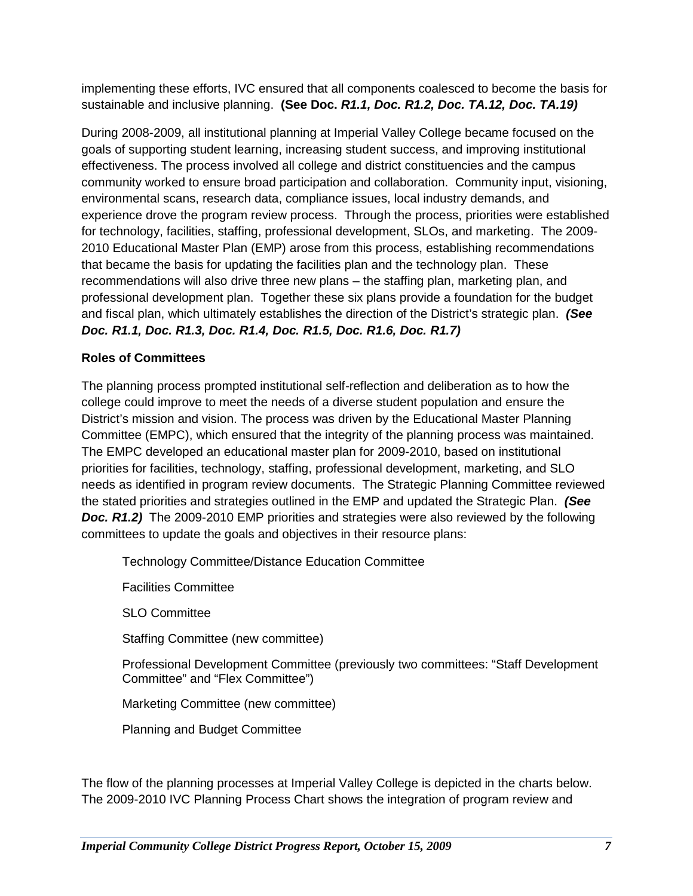implementing these efforts, IVC ensured that all components coalesced to become the basis for sustainable and inclusive planning. **(See Doc.** *R1.1, Doc. R1.2, Doc. TA.12, Doc. TA.19)*

During 2008-2009, all institutional planning at Imperial Valley College became focused on the goals of supporting student learning, increasing student success, and improving institutional effectiveness. The process involved all college and district constituencies and the campus community worked to ensure broad participation and collaboration. Community input, visioning, environmental scans, research data, compliance issues, local industry demands, and experience drove the program review process. Through the process, priorities were established for technology, facilities, staffing, professional development, SLOs, and marketing. The 2009- 2010 Educational Master Plan (EMP) arose from this process, establishing recommendations that became the basis for updating the facilities plan and the technology plan. These recommendations will also drive three new plans – the staffing plan, marketing plan, and professional development plan. Together these six plans provide a foundation for the budget and fiscal plan, which ultimately establishes the direction of the District's strategic plan. *(See Doc. R1.1, Doc. R1.3, Doc. R1.4, Doc. R1.5, Doc. R1.6, Doc. R1.7)*

### **Roles of Committees**

The planning process prompted institutional self-reflection and deliberation as to how the college could improve to meet the needs of a diverse student population and ensure the District's mission and vision. The process was driven by the Educational Master Planning Committee (EMPC), which ensured that the integrity of the planning process was maintained. The EMPC developed an educational master plan for 2009-2010, based on institutional priorities for facilities, technology, staffing, professional development, marketing, and SLO needs as identified in program review documents. The Strategic Planning Committee reviewed the stated priorities and strategies outlined in the EMP and updated the Strategic Plan. *(See Doc. R1.2)* The 2009-2010 EMP priorities and strategies were also reviewed by the following committees to update the goals and objectives in their resource plans:

Technology Committee/Distance Education Committee

Facilities Committee

SLO Committee

Staffing Committee (new committee)

Professional Development Committee (previously two committees: "Staff Development Committee" and "Flex Committee")

Marketing Committee (new committee)

Planning and Budget Committee

The flow of the planning processes at Imperial Valley College is depicted in the charts below. The 2009-2010 IVC Planning Process Chart shows the integration of program review and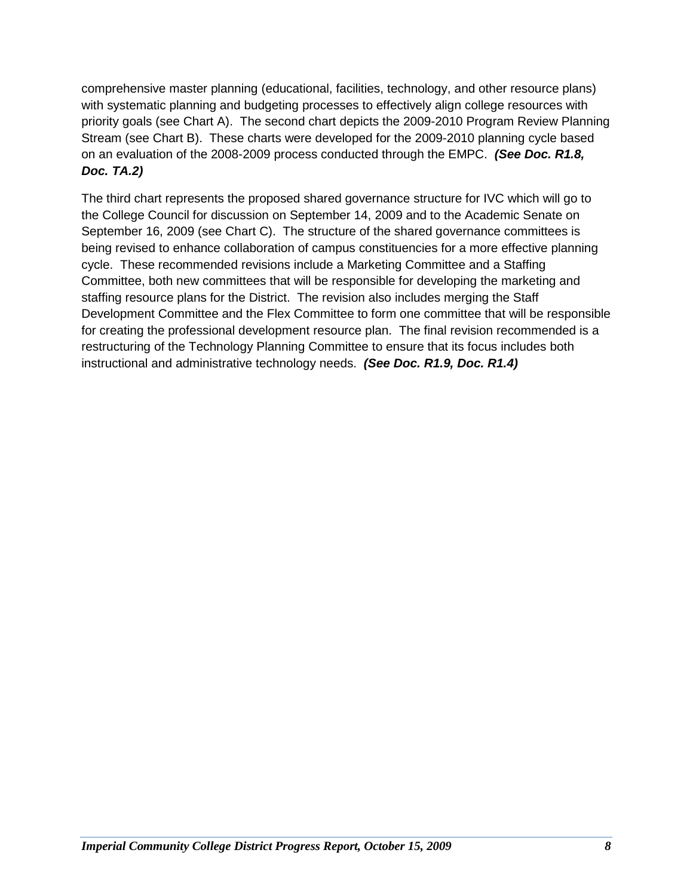comprehensive master planning (educational, facilities, technology, and other resource plans) with systematic planning and budgeting processes to effectively align college resources with priority goals (see Chart A). The second chart depicts the 2009-2010 Program Review Planning Stream (see Chart B). These charts were developed for the 2009-2010 planning cycle based on an evaluation of the 2008-2009 process conducted through the EMPC. *(See Doc. R1.8, Doc. TA.2)*

The third chart represents the proposed shared governance structure for IVC which will go to the College Council for discussion on September 14, 2009 and to the Academic Senate on September 16, 2009 (see Chart C). The structure of the shared governance committees is being revised to enhance collaboration of campus constituencies for a more effective planning cycle. These recommended revisions include a Marketing Committee and a Staffing Committee, both new committees that will be responsible for developing the marketing and staffing resource plans for the District. The revision also includes merging the Staff Development Committee and the Flex Committee to form one committee that will be responsible for creating the professional development resource plan. The final revision recommended is a restructuring of the Technology Planning Committee to ensure that its focus includes both instructional and administrative technology needs. *(See Doc. R1.9, Doc. R1.4)*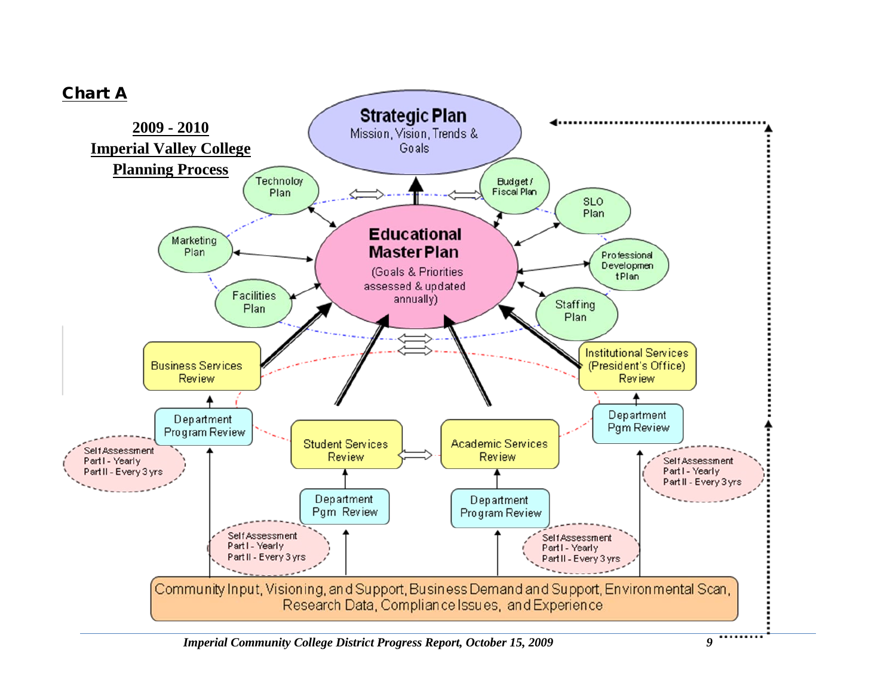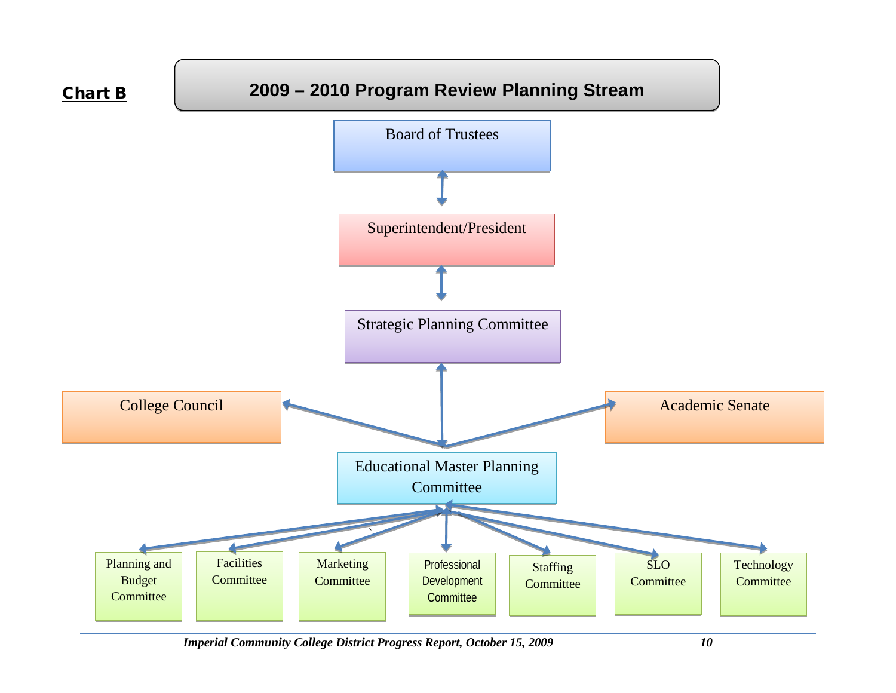

*Imperial Community College District Progress Report, October 15, 2009 10*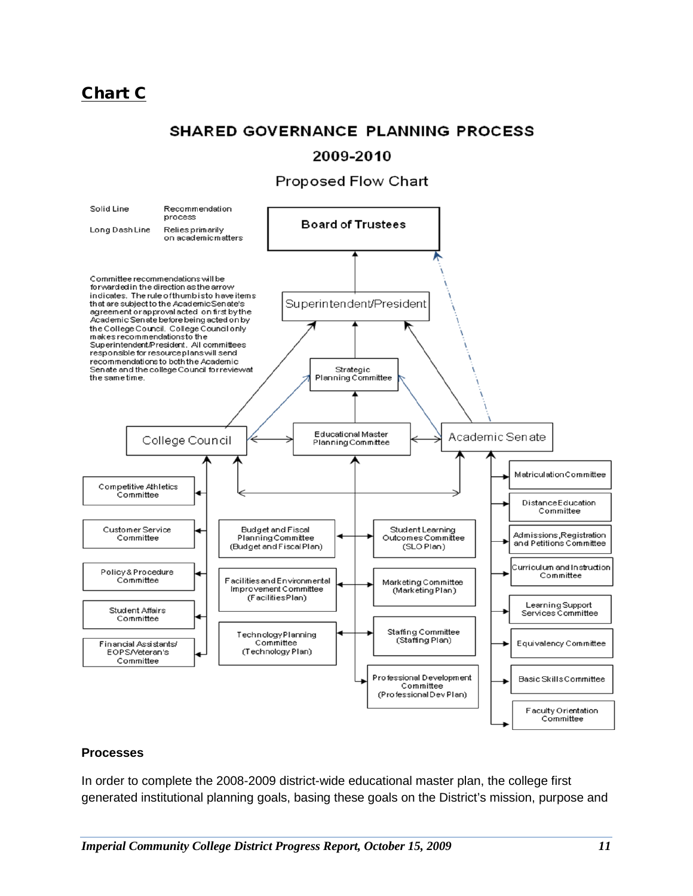## Chart C

### **SHARED GOVERNANCE PLANNING PROCESS**

### 2009-2010

### **Proposed Flow Chart**



### **Processes**

In order to complete the 2008-2009 district-wide educational master plan, the college first generated institutional planning goals, basing these goals on the District's mission, purpose and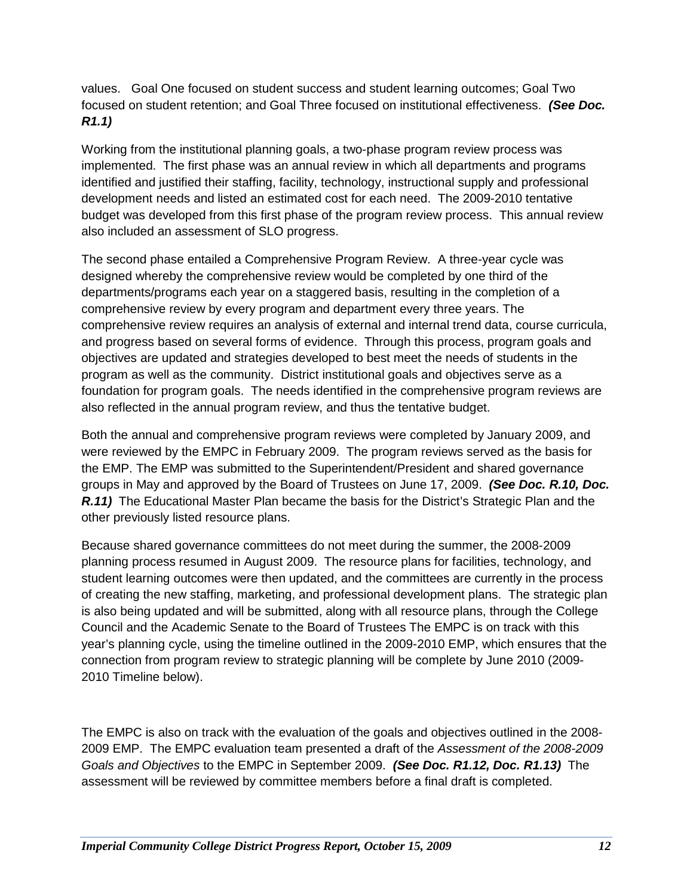values. Goal One focused on student success and student learning outcomes; Goal Two focused on student retention; and Goal Three focused on institutional effectiveness. *(See Doc. R1.1)* 

Working from the institutional planning goals, a two-phase program review process was implemented. The first phase was an annual review in which all departments and programs identified and justified their staffing, facility, technology, instructional supply and professional development needs and listed an estimated cost for each need. The 2009-2010 tentative budget was developed from this first phase of the program review process. This annual review also included an assessment of SLO progress.

The second phase entailed a Comprehensive Program Review. A three-year cycle was designed whereby the comprehensive review would be completed by one third of the departments/programs each year on a staggered basis, resulting in the completion of a comprehensive review by every program and department every three years. The comprehensive review requires an analysis of external and internal trend data, course curricula, and progress based on several forms of evidence. Through this process, program goals and objectives are updated and strategies developed to best meet the needs of students in the program as well as the community. District institutional goals and objectives serve as a foundation for program goals. The needs identified in the comprehensive program reviews are also reflected in the annual program review, and thus the tentative budget.

Both the annual and comprehensive program reviews were completed by January 2009, and were reviewed by the EMPC in February 2009. The program reviews served as the basis for the EMP. The EMP was submitted to the Superintendent/President and shared governance groups in May and approved by the Board of Trustees on June 17, 2009. *(See Doc. R.10, Doc.*  **R.11)** The Educational Master Plan became the basis for the District's Strategic Plan and the other previously listed resource plans.

Because shared governance committees do not meet during the summer, the 2008-2009 planning process resumed in August 2009. The resource plans for facilities, technology, and student learning outcomes were then updated, and the committees are currently in the process of creating the new staffing, marketing, and professional development plans. The strategic plan is also being updated and will be submitted, along with all resource plans, through the College Council and the Academic Senate to the Board of Trustees The EMPC is on track with this year's planning cycle, using the timeline outlined in the 2009-2010 EMP, which ensures that the connection from program review to strategic planning will be complete by June 2010 (2009- 2010 Timeline below).

The EMPC is also on track with the evaluation of the goals and objectives outlined in the 2008- 2009 EMP. The EMPC evaluation team presented a draft of the *Assessment of the 2008-2009 Goals and Objectives* to the EMPC in September 2009. *(See Doc. R1.12, Doc. R1.13)* The assessment will be reviewed by committee members before a final draft is completed.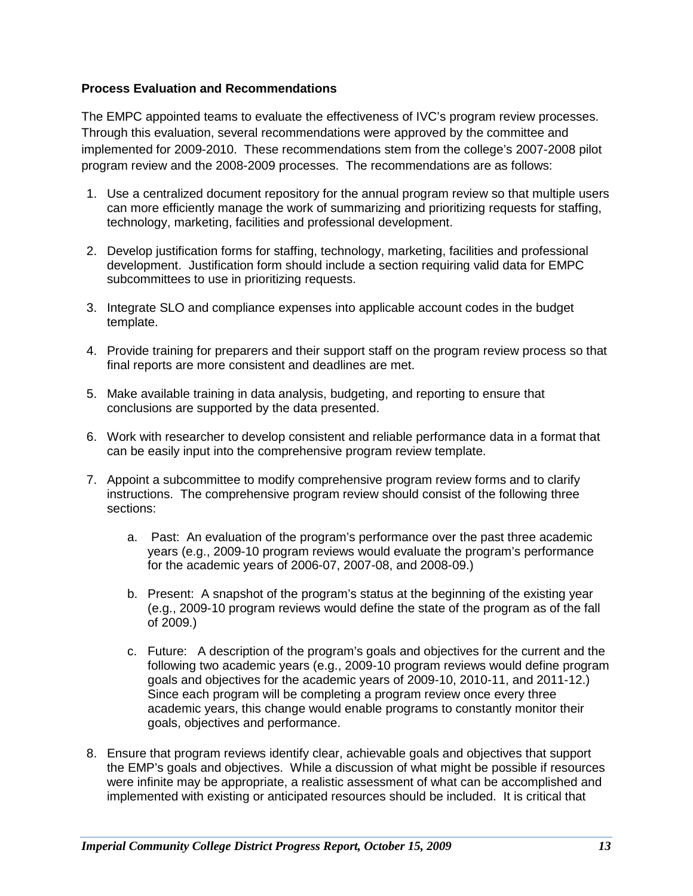### **Process Evaluation and Recommendations**

The EMPC appointed teams to evaluate the effectiveness of IVC's program review processes. Through this evaluation, several recommendations were approved by the committee and implemented for 2009-2010. These recommendations stem from the college's 2007-2008 pilot program review and the 2008-2009 processes. The recommendations are as follows:

- 1. Use a centralized document repository for the annual program review so that multiple users can more efficiently manage the work of summarizing and prioritizing requests for staffing, technology, marketing, facilities and professional development.
- 2. Develop justification forms for staffing, technology, marketing, facilities and professional development. Justification form should include a section requiring valid data for EMPC subcommittees to use in prioritizing requests.
- 3. Integrate SLO and compliance expenses into applicable account codes in the budget template.
- 4. Provide training for preparers and their support staff on the program review process so that final reports are more consistent and deadlines are met.
- 5. Make available training in data analysis, budgeting, and reporting to ensure that conclusions are supported by the data presented.
- 6. Work with researcher to develop consistent and reliable performance data in a format that can be easily input into the comprehensive program review template.
- 7. Appoint a subcommittee to modify comprehensive program review forms and to clarify instructions. The comprehensive program review should consist of the following three sections:
	- a. Past: An evaluation of the program's performance over the past three academic years (e.g., 2009-10 program reviews would evaluate the program's performance for the academic years of 2006-07, 2007-08, and 2008-09.)
	- b. Present: A snapshot of the program's status at the beginning of the existing year (e.g., 2009-10 program reviews would define the state of the program as of the fall of 2009.)
	- c. Future: A description of the program's goals and objectives for the current and the following two academic years (e.g., 2009-10 program reviews would define program goals and objectives for the academic years of 2009-10, 2010-11, and 2011-12.) Since each program will be completing a program review once every three academic years, this change would enable programs to constantly monitor their goals, objectives and performance.
- 8. Ensure that program reviews identify clear, achievable goals and objectives that support the EMP's goals and objectives. While a discussion of what might be possible if resources were infinite may be appropriate, a realistic assessment of what can be accomplished and implemented with existing or anticipated resources should be included. It is critical that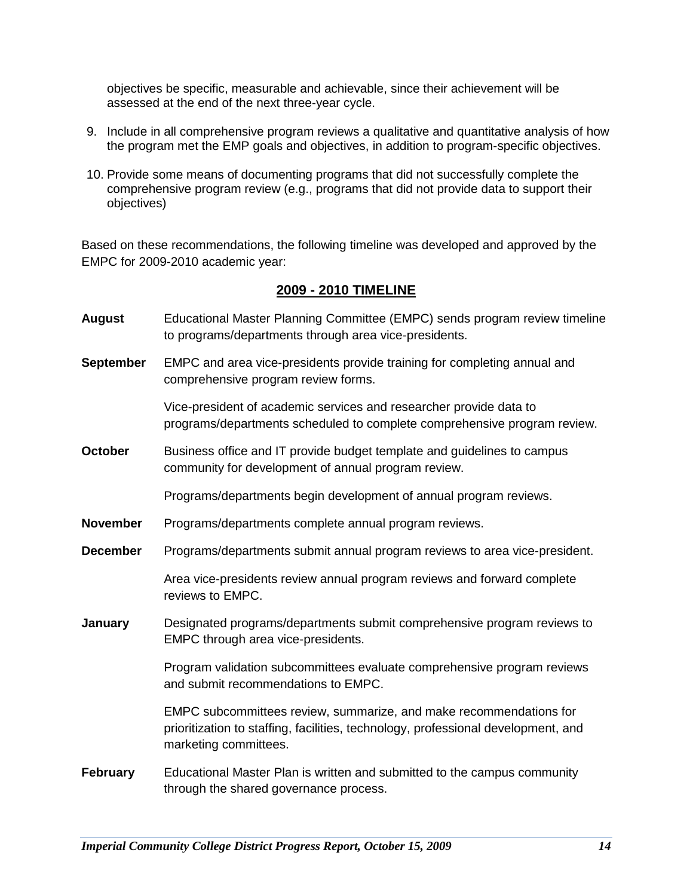objectives be specific, measurable and achievable, since their achievement will be assessed at the end of the next three-year cycle.

- 9. Include in all comprehensive program reviews a qualitative and quantitative analysis of how the program met the EMP goals and objectives, in addition to program-specific objectives.
- 10. Provide some means of documenting programs that did not successfully complete the comprehensive program review (e.g., programs that did not provide data to support their objectives)

Based on these recommendations, the following timeline was developed and approved by the EMPC for 2009-2010 academic year:

### **2009 - 2010 TIMELINE**

- **August** Educational Master Planning Committee (EMPC) sends program review timeline to programs/departments through area vice-presidents.
- **September** EMPC and area vice-presidents provide training for completing annual and comprehensive program review forms.

Vice-president of academic services and researcher provide data to programs/departments scheduled to complete comprehensive program review.

**October** Business office and IT provide budget template and quidelines to campus community for development of annual program review.

Programs/departments begin development of annual program reviews.

- **November** Programs/departments complete annual program reviews.
- **December** Programs/departments submit annual program reviews to area vice-president.

Area vice-presidents review annual program reviews and forward complete reviews to EMPC.

**January** Designated programs/departments submit comprehensive program reviews to EMPC through area vice-presidents.

> Program validation subcommittees evaluate comprehensive program reviews and submit recommendations to EMPC.

EMPC subcommittees review, summarize, and make recommendations for prioritization to staffing, facilities, technology, professional development, and marketing committees.

**February** Educational Master Plan is written and submitted to the campus community through the shared governance process.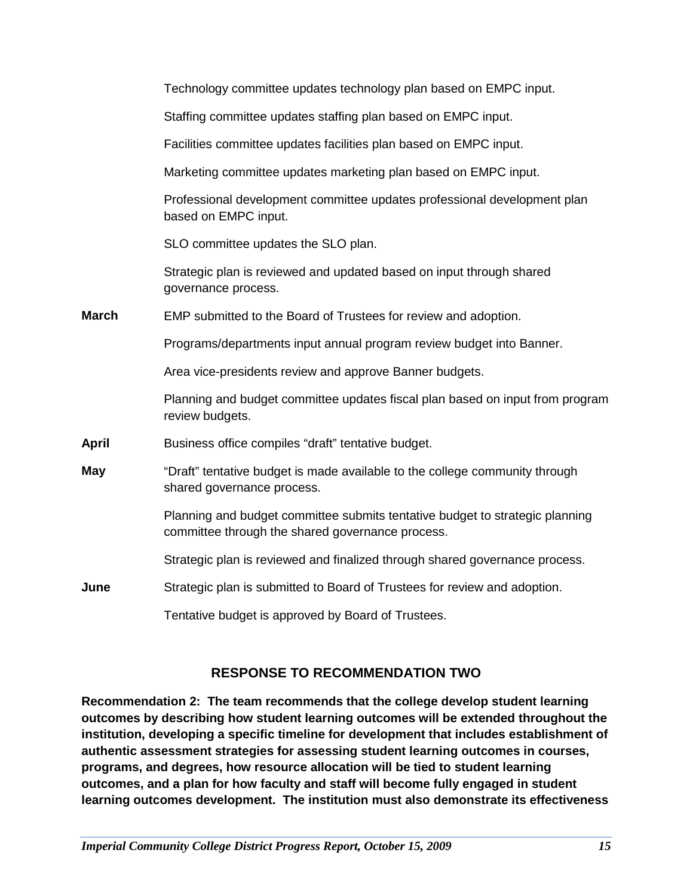|              | Technology committee updates technology plan based on EMPC input.                                                                |
|--------------|----------------------------------------------------------------------------------------------------------------------------------|
|              | Staffing committee updates staffing plan based on EMPC input.                                                                    |
|              | Facilities committee updates facilities plan based on EMPC input.                                                                |
|              | Marketing committee updates marketing plan based on EMPC input.                                                                  |
|              | Professional development committee updates professional development plan<br>based on EMPC input.                                 |
|              | SLO committee updates the SLO plan.                                                                                              |
|              | Strategic plan is reviewed and updated based on input through shared<br>governance process.                                      |
| <b>March</b> | EMP submitted to the Board of Trustees for review and adoption.                                                                  |
|              | Programs/departments input annual program review budget into Banner.                                                             |
|              | Area vice-presidents review and approve Banner budgets.                                                                          |
|              | Planning and budget committee updates fiscal plan based on input from program<br>review budgets.                                 |
| April        | Business office compiles "draft" tentative budget.                                                                               |
| May          | "Draft" tentative budget is made available to the college community through<br>shared governance process.                        |
|              | Planning and budget committee submits tentative budget to strategic planning<br>committee through the shared governance process. |
|              | Strategic plan is reviewed and finalized through shared governance process.                                                      |
| June         | Strategic plan is submitted to Board of Trustees for review and adoption.                                                        |
|              | Tentative budget is approved by Board of Trustees.                                                                               |

### **RESPONSE TO RECOMMENDATION TWO**

**Recommendation 2: The team recommends that the college develop student learning outcomes by describing how student learning outcomes will be extended throughout the institution, developing a specific timeline for development that includes establishment of authentic assessment strategies for assessing student learning outcomes in courses, programs, and degrees, how resource allocation will be tied to student learning outcomes, and a plan for how faculty and staff will become fully engaged in student learning outcomes development. The institution must also demonstrate its effectiveness**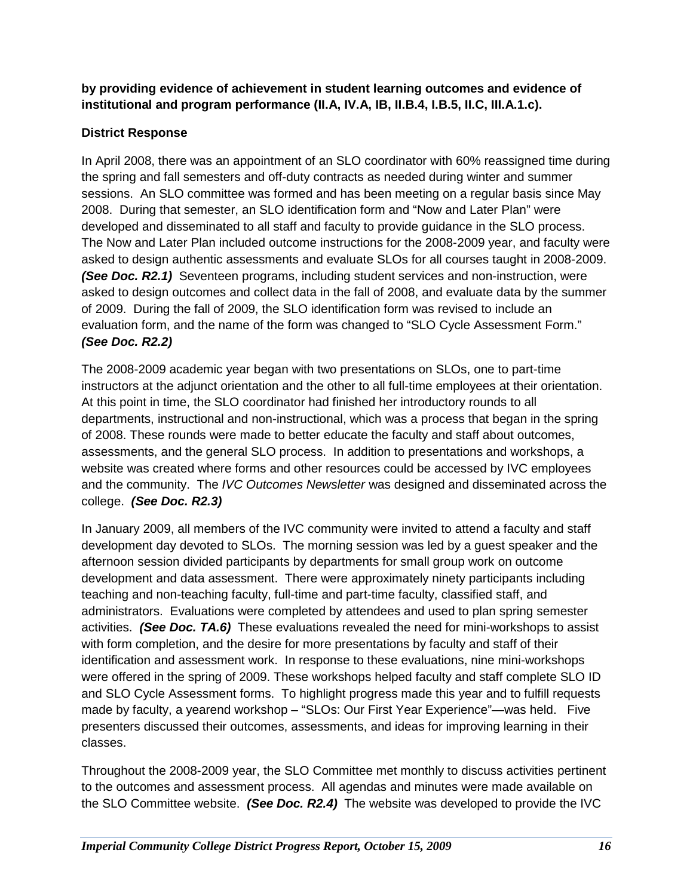### **by providing evidence of achievement in student learning outcomes and evidence of institutional and program performance (II.A, IV.A, IB, II.B.4, I.B.5, II.C, III.A.1.c).**

### **District Response**

In April 2008, there was an appointment of an SLO coordinator with 60% reassigned time during the spring and fall semesters and off-duty contracts as needed during winter and summer sessions. An SLO committee was formed and has been meeting on a regular basis since May 2008. During that semester, an SLO identification form and "Now and Later Plan" were developed and disseminated to all staff and faculty to provide guidance in the SLO process. The Now and Later Plan included outcome instructions for the 2008-2009 year, and faculty were asked to design authentic assessments and evaluate SLOs for all courses taught in 2008-2009. *(See Doc. R2.1)* Seventeen programs, including student services and non-instruction, were asked to design outcomes and collect data in the fall of 2008, and evaluate data by the summer of 2009. During the fall of 2009, the SLO identification form was revised to include an evaluation form, and the name of the form was changed to "SLO Cycle Assessment Form." *(See Doc. R2.2)*

The 2008-2009 academic year began with two presentations on SLOs, one to part-time instructors at the adjunct orientation and the other to all full-time employees at their orientation. At this point in time, the SLO coordinator had finished her introductory rounds to all departments, instructional and non-instructional, which was a process that began in the spring of 2008. These rounds were made to better educate the faculty and staff about outcomes, assessments, and the general SLO process. In addition to presentations and workshops, a website was created where forms and other resources could be accessed by IVC employees and the community. The *IVC Outcomes Newsletter* was designed and disseminated across the college. *(See Doc. R2.3)*

In January 2009, all members of the IVC community were invited to attend a faculty and staff development day devoted to SLOs. The morning session was led by a guest speaker and the afternoon session divided participants by departments for small group work on outcome development and data assessment. There were approximately ninety participants including teaching and non-teaching faculty, full-time and part-time faculty, classified staff, and administrators. Evaluations were completed by attendees and used to plan spring semester activities. *(See Doc. TA.6)* These evaluations revealed the need for mini-workshops to assist with form completion, and the desire for more presentations by faculty and staff of their identification and assessment work. In response to these evaluations, nine mini-workshops were offered in the spring of 2009. These workshops helped faculty and staff complete SLO ID and SLO Cycle Assessment forms. To highlight progress made this year and to fulfill requests made by faculty, a yearend workshop – "SLOs: Our First Year Experience"—was held. Five presenters discussed their outcomes, assessments, and ideas for improving learning in their classes.

Throughout the 2008-2009 year, the SLO Committee met monthly to discuss activities pertinent to the outcomes and assessment process. All agendas and minutes were made available on the SLO Committee website. *(See Doc. R2.4)* The website was developed to provide the IVC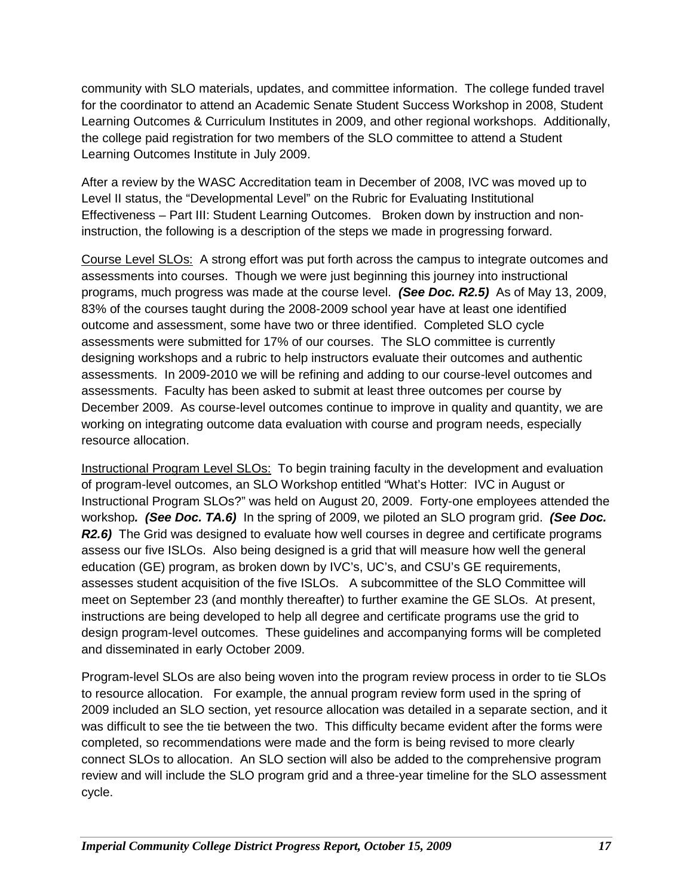community with SLO materials, updates, and committee information. The college funded travel for the coordinator to attend an Academic Senate Student Success Workshop in 2008, Student Learning Outcomes & Curriculum Institutes in 2009, and other regional workshops. Additionally, the college paid registration for two members of the SLO committee to attend a Student Learning Outcomes Institute in July 2009.

After a review by the WASC Accreditation team in December of 2008, IVC was moved up to Level II status, the "Developmental Level" on the Rubric for Evaluating Institutional Effectiveness – Part III: Student Learning Outcomes. Broken down by instruction and noninstruction, the following is a description of the steps we made in progressing forward.

Course Level SLOs: A strong effort was put forth across the campus to integrate outcomes and assessments into courses. Though we were just beginning this journey into instructional programs, much progress was made at the course level. *(See Doc. R2.5)* As of May 13, 2009, 83% of the courses taught during the 2008-2009 school year have at least one identified outcome and assessment, some have two or three identified. Completed SLO cycle assessments were submitted for 17% of our courses. The SLO committee is currently designing workshops and a rubric to help instructors evaluate their outcomes and authentic assessments. In 2009-2010 we will be refining and adding to our course-level outcomes and assessments. Faculty has been asked to submit at least three outcomes per course by December 2009. As course-level outcomes continue to improve in quality and quantity, we are working on integrating outcome data evaluation with course and program needs, especially resource allocation.

Instructional Program Level SLOs: To begin training faculty in the development and evaluation of program-level outcomes, an SLO Workshop entitled "What's Hotter: IVC in August or Instructional Program SLOs?" was held on August 20, 2009. Forty-one employees attended the workshop*. (See Doc. TA.6)* In the spring of 2009, we piloted an SLO program grid. *(See Doc. R2.6)* The Grid was designed to evaluate how well courses in degree and certificate programs assess our five ISLOs. Also being designed is a grid that will measure how well the general education (GE) program, as broken down by IVC's, UC's, and CSU's GE requirements, assesses student acquisition of the five ISLOs. A subcommittee of the SLO Committee will meet on September 23 (and monthly thereafter) to further examine the GE SLOs. At present, instructions are being developed to help all degree and certificate programs use the grid to design program-level outcomes. These guidelines and accompanying forms will be completed and disseminated in early October 2009.

Program-level SLOs are also being woven into the program review process in order to tie SLOs to resource allocation. For example, the annual program review form used in the spring of 2009 included an SLO section, yet resource allocation was detailed in a separate section, and it was difficult to see the tie between the two. This difficulty became evident after the forms were completed, so recommendations were made and the form is being revised to more clearly connect SLOs to allocation. An SLO section will also be added to the comprehensive program review and will include the SLO program grid and a three-year timeline for the SLO assessment cycle.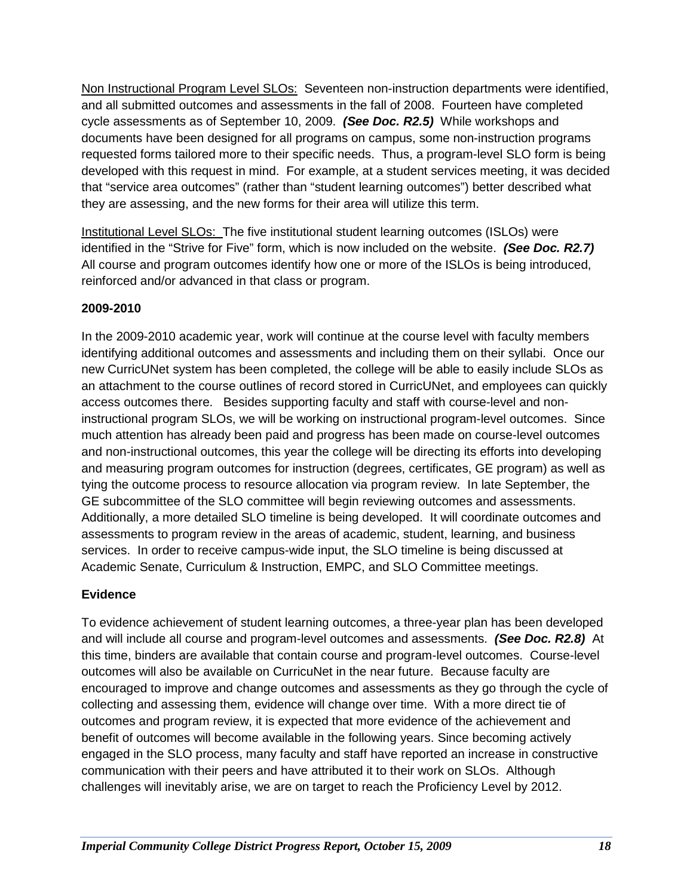Non Instructional Program Level SLOs: Seventeen non-instruction departments were identified, and all submitted outcomes and assessments in the fall of 2008. Fourteen have completed cycle assessments as of September 10, 2009. *(See Doc. R2.5)* While workshops and documents have been designed for all programs on campus, some non-instruction programs requested forms tailored more to their specific needs. Thus, a program-level SLO form is being developed with this request in mind. For example, at a student services meeting, it was decided that "service area outcomes" (rather than "student learning outcomes") better described what they are assessing, and the new forms for their area will utilize this term.

Institutional Level SLOs: The five institutional student learning outcomes (ISLOs) were identified in the "Strive for Five" form, which is now included on the website. *(See Doc. R2.7)*  All course and program outcomes identify how one or more of the ISLOs is being introduced, reinforced and/or advanced in that class or program.

### **2009-2010**

In the 2009-2010 academic year, work will continue at the course level with faculty members identifying additional outcomes and assessments and including them on their syllabi. Once our new CurricUNet system has been completed, the college will be able to easily include SLOs as an attachment to the course outlines of record stored in CurricUNet, and employees can quickly access outcomes there. Besides supporting faculty and staff with course-level and noninstructional program SLOs, we will be working on instructional program-level outcomes. Since much attention has already been paid and progress has been made on course-level outcomes and non-instructional outcomes, this year the college will be directing its efforts into developing and measuring program outcomes for instruction (degrees, certificates, GE program) as well as tying the outcome process to resource allocation via program review. In late September, the GE subcommittee of the SLO committee will begin reviewing outcomes and assessments. Additionally, a more detailed SLO timeline is being developed. It will coordinate outcomes and assessments to program review in the areas of academic, student, learning, and business services. In order to receive campus-wide input, the SLO timeline is being discussed at Academic Senate, Curriculum & Instruction, EMPC, and SLO Committee meetings.

### **Evidence**

To evidence achievement of student learning outcomes, a three-year plan has been developed and will include all course and program-level outcomes and assessments. *(See Doc. R2.8)* At this time, binders are available that contain course and program-level outcomes. Course-level outcomes will also be available on CurricuNet in the near future. Because faculty are encouraged to improve and change outcomes and assessments as they go through the cycle of collecting and assessing them, evidence will change over time. With a more direct tie of outcomes and program review, it is expected that more evidence of the achievement and benefit of outcomes will become available in the following years. Since becoming actively engaged in the SLO process, many faculty and staff have reported an increase in constructive communication with their peers and have attributed it to their work on SLOs. Although challenges will inevitably arise, we are on target to reach the Proficiency Level by 2012.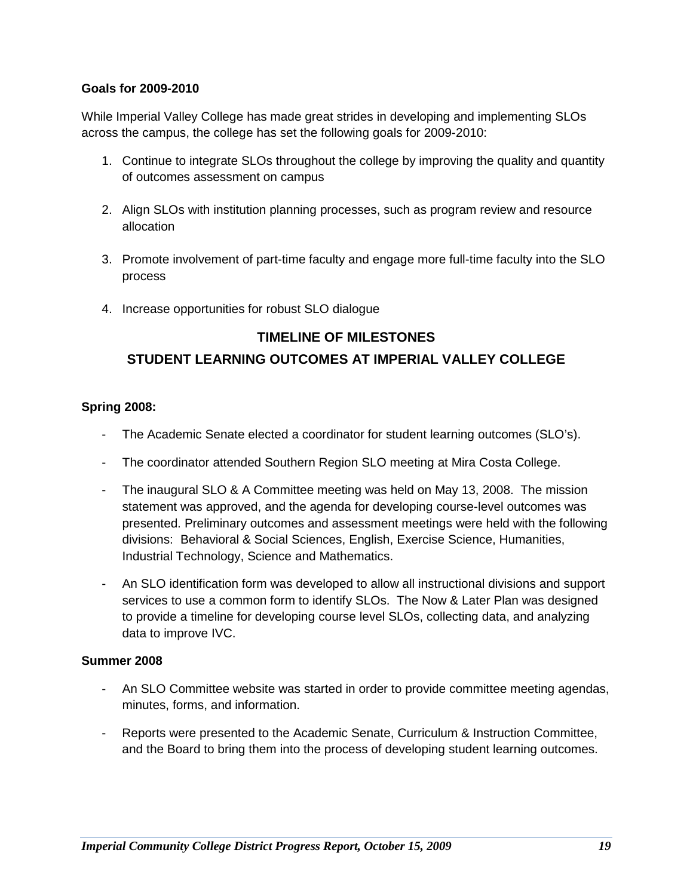### **Goals for 2009-2010**

While Imperial Valley College has made great strides in developing and implementing SLOs across the campus, the college has set the following goals for 2009-2010:

- 1. Continue to integrate SLOs throughout the college by improving the quality and quantity of outcomes assessment on campus
- 2. Align SLOs with institution planning processes, such as program review and resource allocation
- 3. Promote involvement of part-time faculty and engage more full-time faculty into the SLO process
- 4. Increase opportunities for robust SLO dialogue

### **TIMELINE OF MILESTONES**

### **STUDENT LEARNING OUTCOMES AT IMPERIAL VALLEY COLLEGE**

### **Spring 2008:**

- The Academic Senate elected a coordinator for student learning outcomes (SLO's).
- The coordinator attended Southern Region SLO meeting at Mira Costa College.
- The inaugural SLO & A Committee meeting was held on May 13, 2008. The mission statement was approved, and the agenda for developing course-level outcomes was presented. Preliminary outcomes and assessment meetings were held with the following divisions: Behavioral & Social Sciences, English, Exercise Science, Humanities, Industrial Technology, Science and Mathematics.
- An SLO identification form was developed to allow all instructional divisions and support services to use a common form to identify SLOs. The Now & Later Plan was designed to provide a timeline for developing course level SLOs, collecting data, and analyzing data to improve IVC.

### **Summer 2008**

- An SLO Committee website was started in order to provide committee meeting agendas, minutes, forms, and information.
- Reports were presented to the Academic Senate, Curriculum & Instruction Committee, and the Board to bring them into the process of developing student learning outcomes.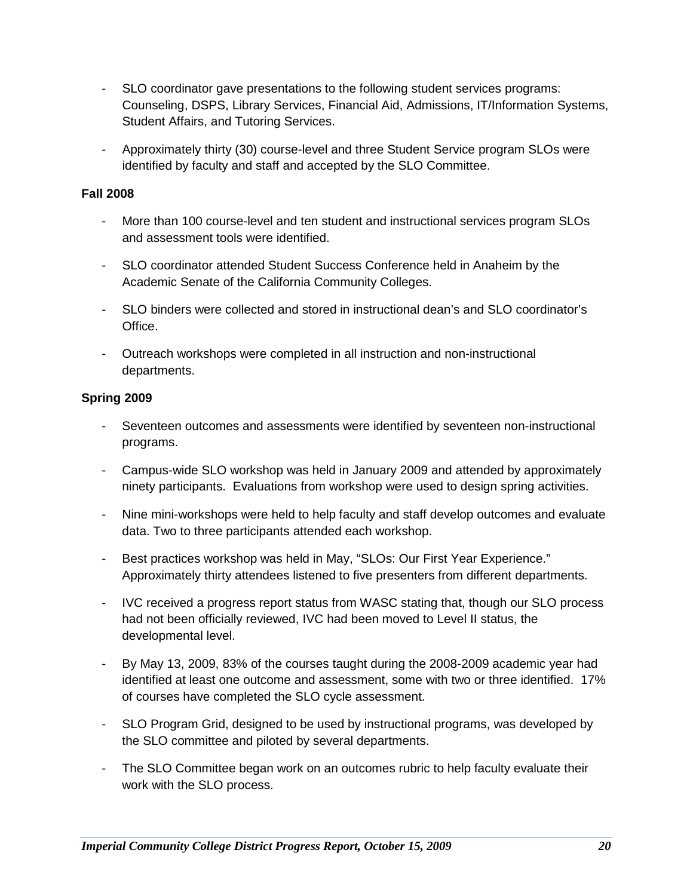- SLO coordinator gave presentations to the following student services programs: Counseling, DSPS, Library Services, Financial Aid, Admissions, IT/Information Systems, Student Affairs, and Tutoring Services.
- Approximately thirty (30) course-level and three Student Service program SLOs were identified by faculty and staff and accepted by the SLO Committee.

### **Fall 2008**

- More than 100 course-level and ten student and instructional services program SLOs and assessment tools were identified.
- SLO coordinator attended Student Success Conference held in Anaheim by the Academic Senate of the California Community Colleges.
- SLO binders were collected and stored in instructional dean's and SLO coordinator's Office.
- Outreach workshops were completed in all instruction and non-instructional departments.

### **Spring 2009**

- Seventeen outcomes and assessments were identified by seventeen non-instructional programs.
- Campus-wide SLO workshop was held in January 2009 and attended by approximately ninety participants. Evaluations from workshop were used to design spring activities.
- Nine mini-workshops were held to help faculty and staff develop outcomes and evaluate data. Two to three participants attended each workshop.
- Best practices workshop was held in May, "SLOs: Our First Year Experience." Approximately thirty attendees listened to five presenters from different departments.
- IVC received a progress report status from WASC stating that, though our SLO process had not been officially reviewed, IVC had been moved to Level II status, the developmental level.
- By May 13, 2009, 83% of the courses taught during the 2008-2009 academic year had identified at least one outcome and assessment, some with two or three identified. 17% of courses have completed the SLO cycle assessment.
- SLO Program Grid, designed to be used by instructional programs, was developed by the SLO committee and piloted by several departments.
- The SLO Committee began work on an outcomes rubric to help faculty evaluate their work with the SLO process.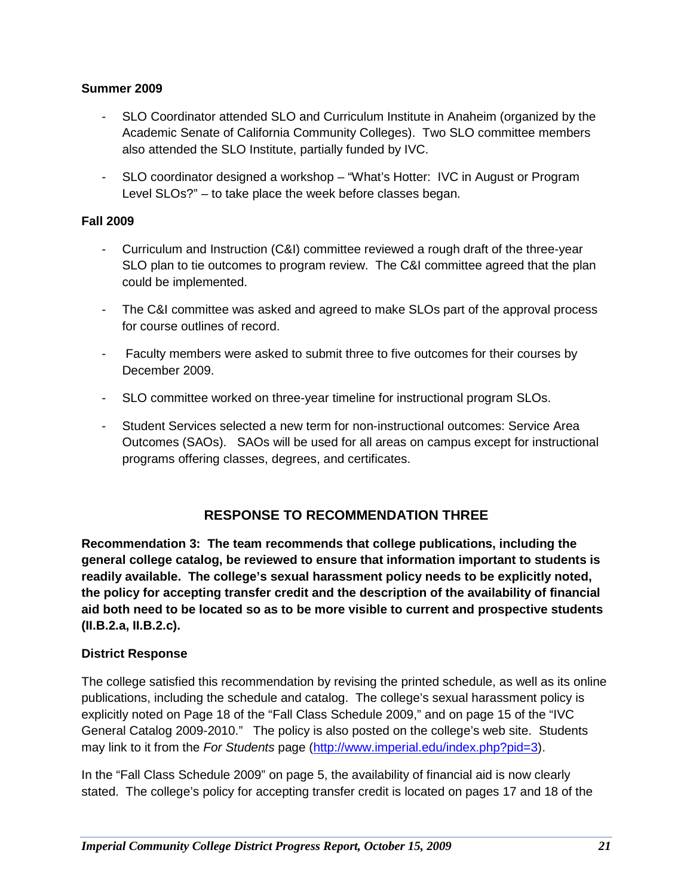### **Summer 2009**

- SLO Coordinator attended SLO and Curriculum Institute in Anaheim (organized by the Academic Senate of California Community Colleges). Two SLO committee members also attended the SLO Institute, partially funded by IVC.
- SLO coordinator designed a workshop "What's Hotter: IVC in August or Program Level SLOs?" – to take place the week before classes began.

### **Fall 2009**

- Curriculum and Instruction (C&I) committee reviewed a rough draft of the three-year SLO plan to tie outcomes to program review. The C&I committee agreed that the plan could be implemented.
- The C&I committee was asked and agreed to make SLOs part of the approval process for course outlines of record.
- Faculty members were asked to submit three to five outcomes for their courses by December 2009.
- SLO committee worked on three-year timeline for instructional program SLOs.
- Student Services selected a new term for non-instructional outcomes: Service Area Outcomes (SAOs). SAOs will be used for all areas on campus except for instructional programs offering classes, degrees, and certificates.

### **RESPONSE TO RECOMMENDATION THREE**

**Recommendation 3: The team recommends that college publications, including the general college catalog, be reviewed to ensure that information important to students is readily available. The college's sexual harassment policy needs to be explicitly noted, the policy for accepting transfer credit and the description of the availability of financial aid both need to be located so as to be more visible to current and prospective students (II.B.2.a, II.B.2.c).**

### **District Response**

The college satisfied this recommendation by revising the printed schedule, as well as its online publications, including the schedule and catalog. The college's sexual harassment policy is explicitly noted on Page 18 of the "Fall Class Schedule 2009," and on page 15 of the "IVC General Catalog 2009-2010." The policy is also posted on the college's web site. Students may link to it from the *For Students* page [\(http://www.imperial.edu/index.php?pid=3\)](http://www.imperial.edu/index.php?pid=3).

In the "Fall Class Schedule 2009" on page 5, the availability of financial aid is now clearly stated. The college's policy for accepting transfer credit is located on pages 17 and 18 of the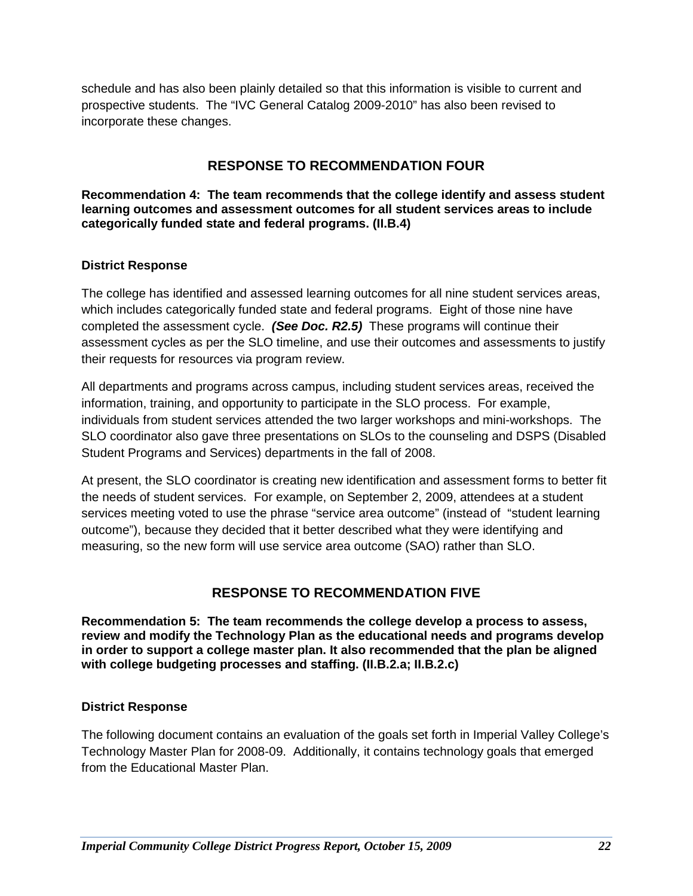schedule and has also been plainly detailed so that this information is visible to current and prospective students. The "IVC General Catalog 2009-2010" has also been revised to incorporate these changes.

### **RESPONSE TO RECOMMENDATION FOUR**

**Recommendation 4: The team recommends that the college identify and assess student learning outcomes and assessment outcomes for all student services areas to include categorically funded state and federal programs. (II.B.4)**

### **District Response**

The college has identified and assessed learning outcomes for all nine student services areas, which includes categorically funded state and federal programs. Eight of those nine have completed the assessment cycle. *(See Doc. R2.5)* These programs will continue their assessment cycles as per the SLO timeline, and use their outcomes and assessments to justify their requests for resources via program review.

All departments and programs across campus, including student services areas, received the information, training, and opportunity to participate in the SLO process. For example, individuals from student services attended the two larger workshops and mini-workshops. The SLO coordinator also gave three presentations on SLOs to the counseling and DSPS (Disabled Student Programs and Services) departments in the fall of 2008.

At present, the SLO coordinator is creating new identification and assessment forms to better fit the needs of student services. For example, on September 2, 2009, attendees at a student services meeting voted to use the phrase "service area outcome" (instead of "student learning outcome"), because they decided that it better described what they were identifying and measuring, so the new form will use service area outcome (SAO) rather than SLO.

### **RESPONSE TO RECOMMENDATION FIVE**

**Recommendation 5: The team recommends the college develop a process to assess, review and modify the Technology Plan as the educational needs and programs develop in order to support a college master plan. It also recommended that the plan be aligned with college budgeting processes and staffing. (II.B.2.a; II.B.2.c)**

### **District Response**

The following document contains an evaluation of the goals set forth in Imperial Valley College's Technology Master Plan for 2008-09. Additionally, it contains technology goals that emerged from the Educational Master Plan.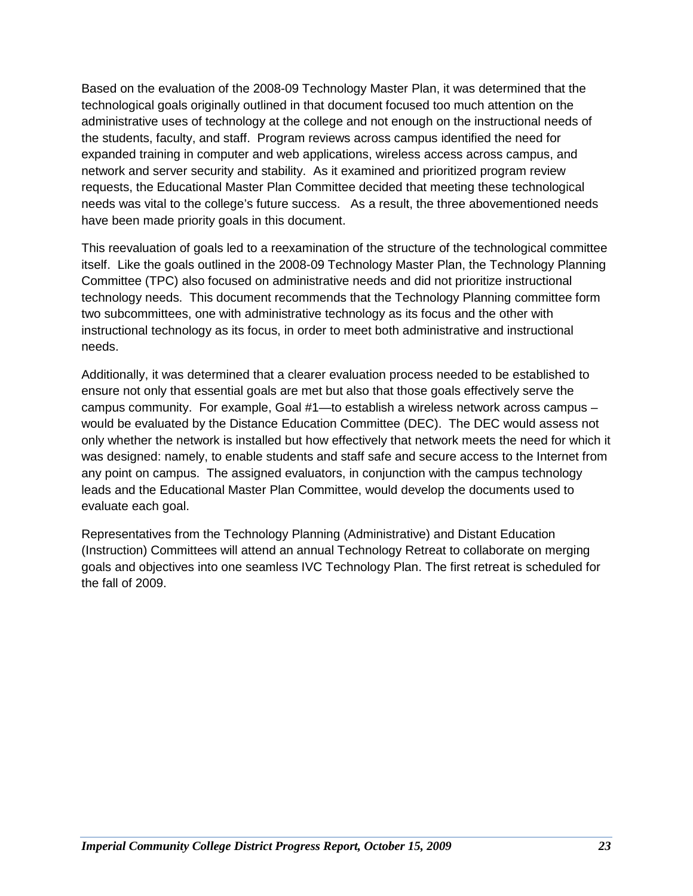Based on the evaluation of the 2008-09 Technology Master Plan, it was determined that the technological goals originally outlined in that document focused too much attention on the administrative uses of technology at the college and not enough on the instructional needs of the students, faculty, and staff. Program reviews across campus identified the need for expanded training in computer and web applications, wireless access across campus, and network and server security and stability. As it examined and prioritized program review requests, the Educational Master Plan Committee decided that meeting these technological needs was vital to the college's future success. As a result, the three abovementioned needs have been made priority goals in this document.

This reevaluation of goals led to a reexamination of the structure of the technological committee itself. Like the goals outlined in the 2008-09 Technology Master Plan, the Technology Planning Committee (TPC) also focused on administrative needs and did not prioritize instructional technology needs. This document recommends that the Technology Planning committee form two subcommittees, one with administrative technology as its focus and the other with instructional technology as its focus, in order to meet both administrative and instructional needs.

Additionally, it was determined that a clearer evaluation process needed to be established to ensure not only that essential goals are met but also that those goals effectively serve the campus community. For example, Goal #1—to establish a wireless network across campus – would be evaluated by the Distance Education Committee (DEC). The DEC would assess not only whether the network is installed but how effectively that network meets the need for which it was designed: namely, to enable students and staff safe and secure access to the Internet from any point on campus. The assigned evaluators, in conjunction with the campus technology leads and the Educational Master Plan Committee, would develop the documents used to evaluate each goal.

Representatives from the Technology Planning (Administrative) and Distant Education (Instruction) Committees will attend an annual Technology Retreat to collaborate on merging goals and objectives into one seamless IVC Technology Plan. The first retreat is scheduled for the fall of 2009.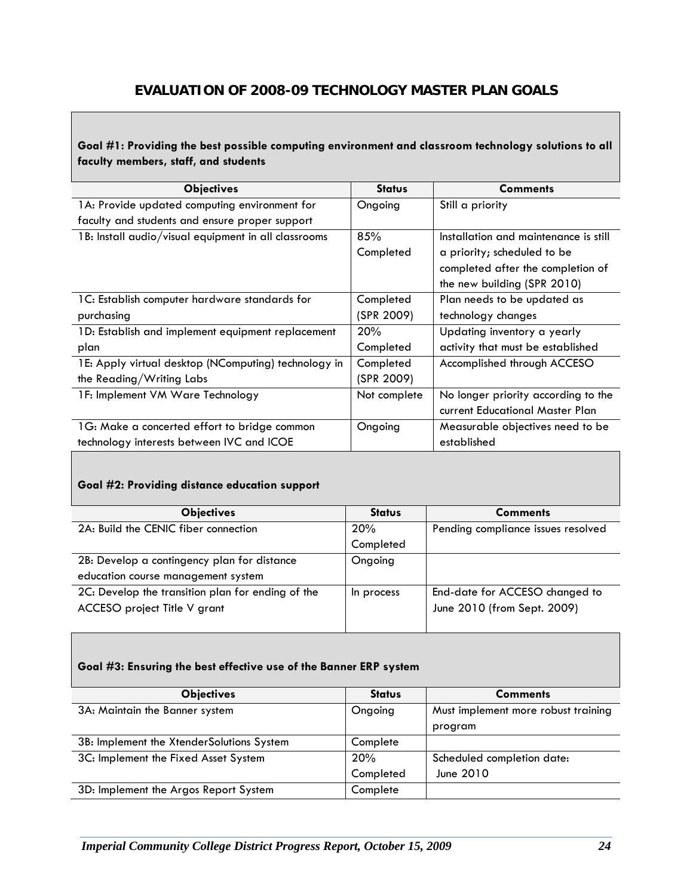### **EVALUATION OF 2008-09 TECHNOLOGY MASTER PLAN GOALS**

### **Goal #1: Providing the best possible computing environment and classroom technology solutions to all faculty members, staff, and students**

| <b>Objectives</b>                                    | <b>Status</b> | <b>Comments</b>                       |
|------------------------------------------------------|---------------|---------------------------------------|
| 1A: Provide updated computing environment for        | Ongoing       | Still a priority                      |
| faculty and students and ensure proper support       |               |                                       |
| 1B: Install audio/visual equipment in all classrooms | 85%           | Installation and maintenance is still |
|                                                      | Completed     | a priority; scheduled to be           |
|                                                      |               | completed after the completion of     |
|                                                      |               | the new building (SPR 2010)           |
| 1C: Establish computer hardware standards for        | Completed     | Plan needs to be updated as           |
| purchasing                                           | (SPR 2009)    | technology changes                    |
| 1D: Establish and implement equipment replacement    | 20%           | Updating inventory a yearly           |
| plan                                                 | Completed     | activity that must be established     |
| 1E: Apply virtual desktop (NComputing) technology in | Completed     | Accomplished through ACCESO           |
| the Reading/Writing Labs                             | (SPR 2009)    |                                       |
| 1F: Implement VM Ware Technology                     | Not complete  | No longer priority according to the   |
|                                                      |               | current Educational Master Plan       |
| 1G: Make a concerted effort to bridge common         | Ongoing       | Measurable objectives need to be      |
| technology interests between IVC and ICOE            |               | established                           |

### **Goal #2: Providing distance education support**

| <b>Objectives</b>                                 | <b>Status</b> | <b>Comments</b>                    |
|---------------------------------------------------|---------------|------------------------------------|
| 2A: Build the CENIC fiber connection              | 20%           | Pending compliance issues resolved |
|                                                   | Completed     |                                    |
| 2B: Develop a contingency plan for distance       | Ongoing       |                                    |
| education course management system                |               |                                    |
| 2C: Develop the transition plan for ending of the | In process    | End-date for ACCESO changed to     |
| ACCESO project Title V grant                      |               | June 2010 (from Sept. 2009)        |
|                                                   |               |                                    |

#### **Goal #3: Ensuring the best effective use of the Banner ERP system**

| <b>Objectives</b>                         | <b>Status</b> | <b>Comments</b>                     |
|-------------------------------------------|---------------|-------------------------------------|
| 3A: Maintain the Banner system            | Ongoing       | Must implement more robust training |
|                                           |               | program                             |
| 3B: Implement the XtenderSolutions System | Complete      |                                     |
| 3C: Implement the Fixed Asset System      | 20%           | Scheduled completion date:          |
|                                           | Completed     | June 2010                           |
| 3D: Implement the Argos Report System     | Complete      |                                     |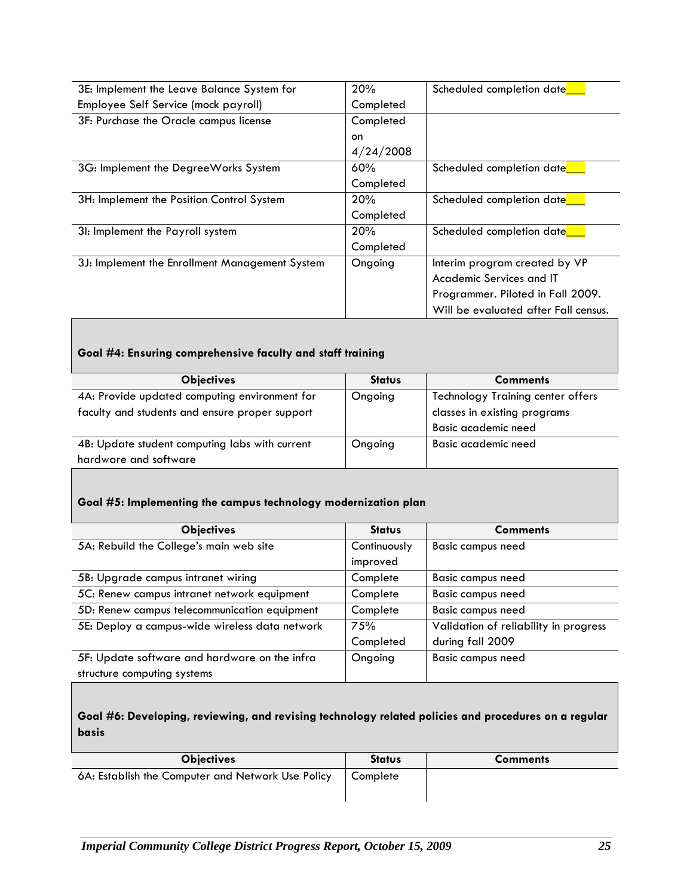| 3E: Implement the Leave Balance System for     | 20%       | Scheduled completion date            |
|------------------------------------------------|-----------|--------------------------------------|
| Employee Self Service (mock payroll)           | Completed |                                      |
| 3F: Purchase the Oracle campus license         | Completed |                                      |
|                                                | on        |                                      |
|                                                | 4/24/2008 |                                      |
| 3G: Implement the DegreeWorks System           | 60%       | Scheduled completion date            |
|                                                | Completed |                                      |
| 3H: Implement the Position Control System      | 20%       | Scheduled completion date            |
|                                                | Completed |                                      |
| 31: Implement the Payroll system               | 20%       | Scheduled completion date            |
|                                                | Completed |                                      |
| 3J: Implement the Enrollment Management System | Ongoing   | Interim program created by VP        |
|                                                |           | Academic Services and IT             |
|                                                |           | Programmer. Piloted in Fall 2009.    |
|                                                |           | Will be evaluated after Fall census. |

### **Goal #4: Ensuring comprehensive faculty and staff training**

| <b>Objectives</b>                              | <b>Status</b> | <b>Comments</b>                   |
|------------------------------------------------|---------------|-----------------------------------|
| 4A: Provide updated computing environment for  | Ongoing       | Technology Training center offers |
| faculty and students and ensure proper support |               | classes in existing programs      |
|                                                |               | Basic academic need               |
| 4B: Update student computing labs with current | Ongoing       | Basic academic need               |
| hardware and software                          |               |                                   |

### **Goal #5: Implementing the campus technology modernization plan**

| <b>Objectives</b>                              | <b>Status</b> | <b>Comments</b>                       |
|------------------------------------------------|---------------|---------------------------------------|
| 5A: Rebuild the College's main web site        | Continuously  | <b>Basic campus need</b>              |
|                                                | improved      |                                       |
| 5B: Upgrade campus intranet wiring             | Complete      | <b>Basic campus need</b>              |
| 5C: Renew campus intranet network equipment    | Complete      | <b>Basic campus need</b>              |
| 5D: Renew campus telecommunication equipment   | Complete      | <b>Basic campus need</b>              |
| 5E: Deploy a campus-wide wireless data network | 75%           | Validation of reliability in progress |
|                                                | Completed     | during fall 2009                      |
| 5F: Update software and hardware on the infra  | Ongoing       | <b>Basic campus need</b>              |
| structure computing systems                    |               |                                       |

### **Goal #6: Developing, reviewing, and revising technology related policies and procedures on a regular basis**

| <b>Objectives</b>                                 | <b>Status</b> | <b>Comments</b> |
|---------------------------------------------------|---------------|-----------------|
| 6A: Establish the Computer and Network Use Policy | Complete      |                 |
|                                                   |               |                 |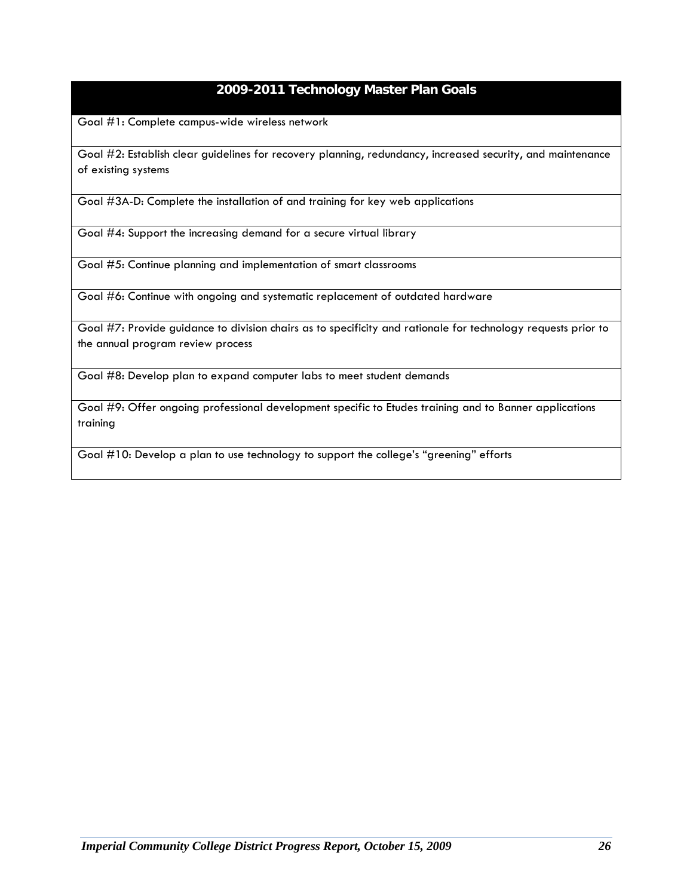### **2009-2011 Technology Master Plan Goals**

Goal #1: Complete campus-wide wireless network

Goal #2: Establish clear guidelines for recovery planning, redundancy, increased security, and maintenance of existing systems

Goal #3A-D: Complete the installation of and training for key web applications

Goal #4: Support the increasing demand for a secure virtual library

Goal #5: Continue planning and implementation of smart classrooms

Goal #6: Continue with ongoing and systematic replacement of outdated hardware

Goal #7: Provide guidance to division chairs as to specificity and rationale for technology requests prior to the annual program review process

Goal #8: Develop plan to expand computer labs to meet student demands

Goal #9: Offer ongoing professional development specific to Etudes training and to Banner applications training

Goal #10: Develop a plan to use technology to support the college's "greening" efforts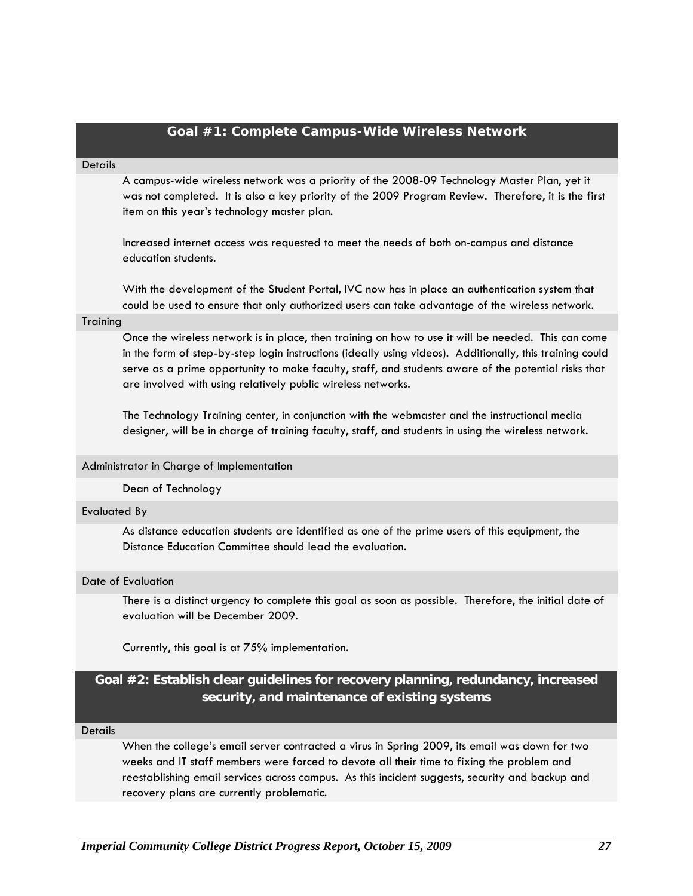|                     | Goal #1: Complete Campus-Wide Wireless Network                                                                                                                                                                                                                                                                                                                                         |
|---------------------|----------------------------------------------------------------------------------------------------------------------------------------------------------------------------------------------------------------------------------------------------------------------------------------------------------------------------------------------------------------------------------------|
| <b>Details</b>      |                                                                                                                                                                                                                                                                                                                                                                                        |
|                     | A campus-wide wireless network was a priority of the 2008-09 Technology Master Plan, yet it<br>was not completed. It is also a key priority of the 2009 Program Review. Therefore, it is the first<br>item on this year's technology master plan.                                                                                                                                      |
|                     | Increased internet access was requested to meet the needs of both on-campus and distance<br>education students.                                                                                                                                                                                                                                                                        |
|                     | With the development of the Student Portal, IVC now has in place an authentication system that<br>could be used to ensure that only authorized users can take advantage of the wireless network.                                                                                                                                                                                       |
| Training            |                                                                                                                                                                                                                                                                                                                                                                                        |
|                     | Once the wireless network is in place, then training on how to use it will be needed. This can come<br>in the form of step-by-step login instructions (ideally using videos). Additionally, this training could<br>serve as a prime opportunity to make faculty, staff, and students aware of the potential risks that<br>are involved with using relatively public wireless networks. |
|                     | The Technology Training center, in conjunction with the webmaster and the instructional media<br>designer, will be in charge of training faculty, staff, and students in using the wireless network.                                                                                                                                                                                   |
|                     | Administrator in Charge of Implementation                                                                                                                                                                                                                                                                                                                                              |
|                     | Dean of Technology                                                                                                                                                                                                                                                                                                                                                                     |
| <b>Evaluated By</b> |                                                                                                                                                                                                                                                                                                                                                                                        |
|                     | As distance education students are identified as one of the prime users of this equipment, the<br>Distance Education Committee should lead the evaluation.                                                                                                                                                                                                                             |
| Date of Evaluation  |                                                                                                                                                                                                                                                                                                                                                                                        |
|                     | There is a distinct urgency to complete this goal as soon as possible. Therefore, the initial date of<br>evaluation will be December 2009.                                                                                                                                                                                                                                             |
|                     | Currently, this goal is at 75% implementation.                                                                                                                                                                                                                                                                                                                                         |

### **Goal #2: Establish clear guidelines for recovery planning, redundancy, increased security, and maintenance of existing systems**

**Details** 

When the college's email server contracted a virus in Spring 2009, its email was down for two weeks and IT staff members were forced to devote all their time to fixing the problem and reestablishing email services across campus. As this incident suggests, security and backup and recovery plans are currently problematic.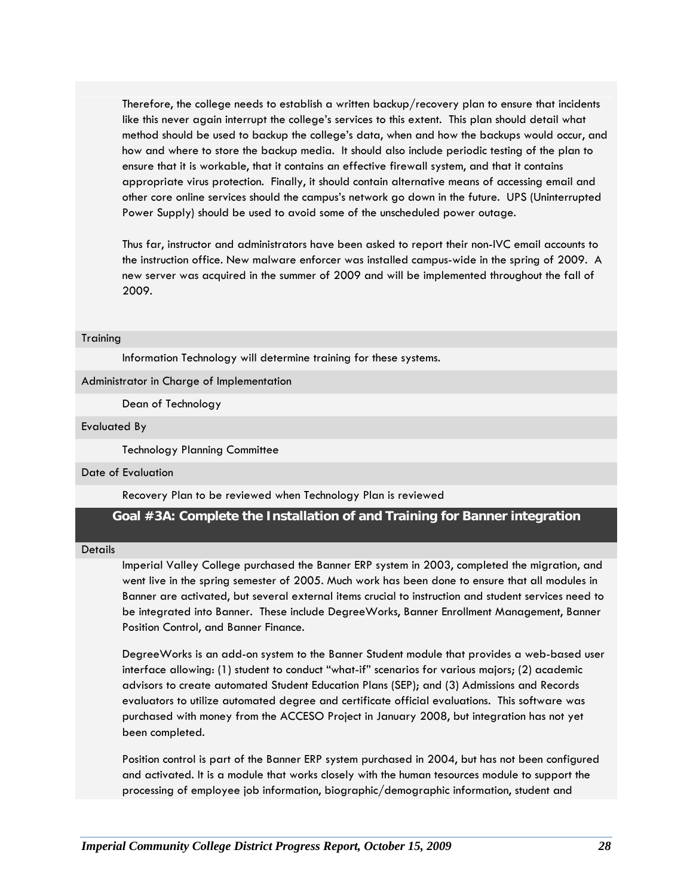Therefore, the college needs to establish a written backup/recovery plan to ensure that incidents like this never again interrupt the college's services to this extent. This plan should detail what method should be used to backup the college's data, when and how the backups would occur, and how and where to store the backup media. It should also include periodic testing of the plan to ensure that it is workable, that it contains an effective firewall system, and that it contains appropriate virus protection. Finally, it should contain alternative means of accessing email and other core online services should the campus's network go down in the future. UPS (Uninterrupted Power Supply) should be used to avoid some of the unscheduled power outage.

Thus far, instructor and administrators have been asked to report their non-IVC email accounts to the instruction office. New malware enforcer was installed campus-wide in the spring of 2009. A new server was acquired in the summer of 2009 and will be implemented throughout the fall of 2009.

#### **Training**

Information Technology will determine training for these systems.

#### Administrator in Charge of Implementation

Dean of Technology

#### Evaluated By

Technology Planning Committee

#### Date of Evaluation

Recovery Plan to be reviewed when Technology Plan is reviewed

### **Goal #3A: Complete the Installation of and Training for Banner integration**

#### **Details**

Imperial Valley College purchased the Banner ERP system in 2003, completed the migration, and went live in the spring semester of 2005. Much work has been done to ensure that all modules in Banner are activated, but several external items crucial to instruction and student services need to be integrated into Banner. These include DegreeWorks, Banner Enrollment Management, Banner Position Control, and Banner Finance.

DegreeWorks is an add-on system to the Banner Student module that provides a web-based user interface allowing: (1) student to conduct "what-if" scenarios for various majors; (2) academic advisors to create automated Student Education Plans (SEP); and (3) Admissions and Records evaluators to utilize automated degree and certificate official evaluations. This software was purchased with money from the ACCESO Project in January 2008, but integration has not yet been completed.

Position control is part of the Banner ERP system purchased in 2004, but has not been configured and activated. It is a module that works closely with the human tesources module to support the processing of employee job information, biographic/demographic information, student and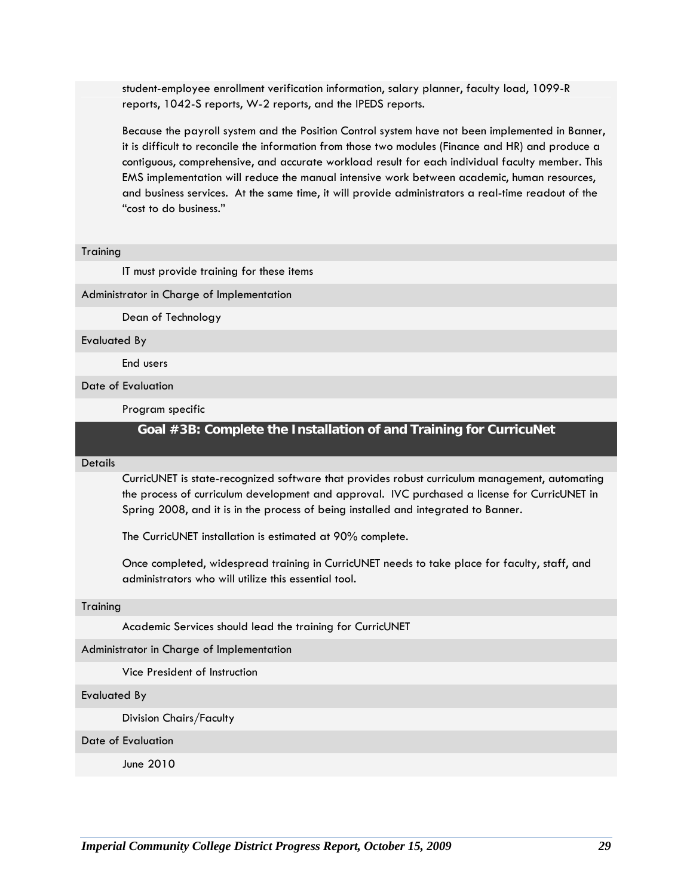student-employee enrollment verification information, salary planner, faculty load, 1099-R reports, 1042-S reports, W-2 reports, and the IPEDS reports.

Because the payroll system and the Position Control system have not been implemented in Banner, it is difficult to reconcile the information from those two modules (Finance and HR) and produce a contiguous, comprehensive, and accurate workload result for each individual faculty member. This EMS implementation will reduce the manual intensive work between academic, human resources, and business services. At the same time, it will provide administrators a real-time readout of the "cost to do business."

#### **Training**

IT must provide training for these items

Administrator in Charge of Implementation

Dean of Technology

Evaluated By

End users

Date of Evaluation

Program specific

### **Goal #3B: Complete the Installation of and Training for CurricuNet**

#### Details

CurricUNET is state-recognized software that provides robust curriculum management, automating the process of curriculum development and approval. IVC purchased a license for CurricUNET in Spring 2008, and it is in the process of being installed and integrated to Banner.

The CurricUNET installation is estimated at 90% complete.

Once completed, widespread training in CurricUNET needs to take place for faculty, staff, and administrators who will utilize this essential tool.

#### **Training**

Academic Services should lead the training for CurricUNET

Administrator in Charge of Implementation

Vice President of Instruction

#### Evaluated By

Division Chairs/Faculty

#### Date of Evaluation

June 2010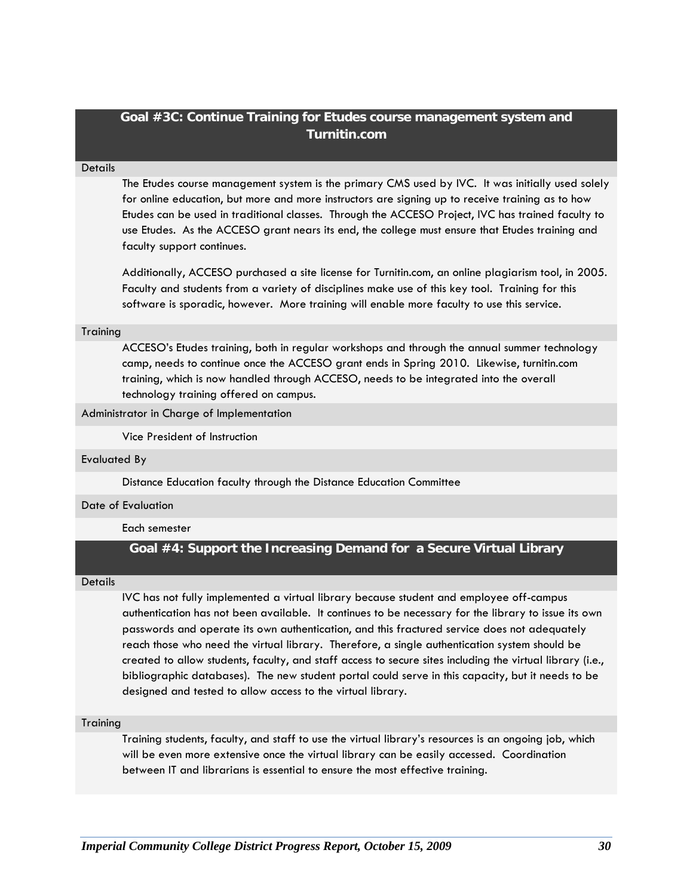### **Goal #3C: Continue Training for Etudes course management system and Turnitin.com**

#### **Details**

The Etudes course management system is the primary CMS used by IVC. It was initially used solely for online education, but more and more instructors are signing up to receive training as to how Etudes can be used in traditional classes. Through the ACCESO Project, IVC has trained faculty to use Etudes. As the ACCESO grant nears its end, the college must ensure that Etudes training and faculty support continues.

Additionally, ACCESO purchased a site license for Turnitin.com, an online plagiarism tool, in 2005. Faculty and students from a variety of disciplines make use of this key tool. Training for this software is sporadic, however. More training will enable more faculty to use this service.

#### **Training**

ACCESO's Etudes training, both in regular workshops and through the annual summer technology camp, needs to continue once the ACCESO grant ends in Spring 2010. Likewise, turnitin.com training, which is now handled through ACCESO, needs to be integrated into the overall technology training offered on campus.

#### Administrator in Charge of Implementation

Vice President of Instruction

#### Evaluated By

Distance Education faculty through the Distance Education Committee

#### Date of Evaluation

#### Each semester

### **Goal #4: Support the Increasing Demand for a Secure Virtual Library**

#### **Details**

IVC has not fully implemented a virtual library because student and employee off-campus authentication has not been available. It continues to be necessary for the library to issue its own passwords and operate its own authentication, and this fractured service does not adequately reach those who need the virtual library. Therefore, a single authentication system should be created to allow students, faculty, and staff access to secure sites including the virtual library (i.e., bibliographic databases). The new student portal could serve in this capacity, but it needs to be designed and tested to allow access to the virtual library.

#### **Training**

Training students, faculty, and staff to use the virtual library's resources is an ongoing job, which will be even more extensive once the virtual library can be easily accessed. Coordination between IT and librarians is essential to ensure the most effective training.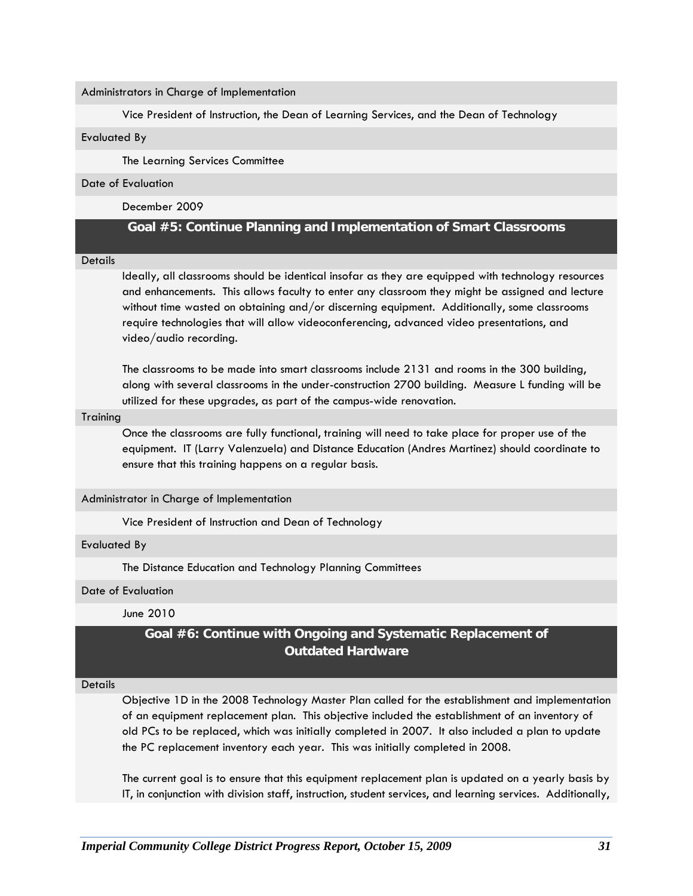Administrators in Charge of Implementation

Vice President of Instruction, the Dean of Learning Services, and the Dean of Technology

Evaluated By

The Learning Services Committee

#### Date of Evaluation

December 2009

### **Goal #5: Continue Planning and Implementation of Smart Classrooms**

#### **Details**

Ideally, all classrooms should be identical insofar as they are equipped with technology resources and enhancements. This allows faculty to enter any classroom they might be assigned and lecture without time wasted on obtaining and/or discerning equipment. Additionally, some classrooms require technologies that will allow videoconferencing, advanced video presentations, and video/audio recording.

The classrooms to be made into smart classrooms include 2131 and rooms in the 300 building, along with several classrooms in the under-construction 2700 building. Measure L funding will be utilized for these upgrades, as part of the campus-wide renovation.

#### **Training**

Once the classrooms are fully functional, training will need to take place for proper use of the equipment. IT (Larry Valenzuela) and Distance Education (Andres Martinez) should coordinate to ensure that this training happens on a regular basis.

#### Administrator in Charge of Implementation

Vice President of Instruction and Dean of Technology

#### Evaluated By

The Distance Education and Technology Planning Committees

#### Date of Evaluation

June 2010

### **Goal #6: Continue with Ongoing and Systematic Replacement of Outdated Hardware**

#### **Details**

Objective 1D in the 2008 Technology Master Plan called for the establishment and implementation of an equipment replacement plan. This objective included the establishment of an inventory of old PCs to be replaced, which was initially completed in 2007. It also included a plan to update the PC replacement inventory each year. This was initially completed in 2008.

The current goal is to ensure that this equipment replacement plan is updated on a yearly basis by IT, in conjunction with division staff, instruction, student services, and learning services. Additionally,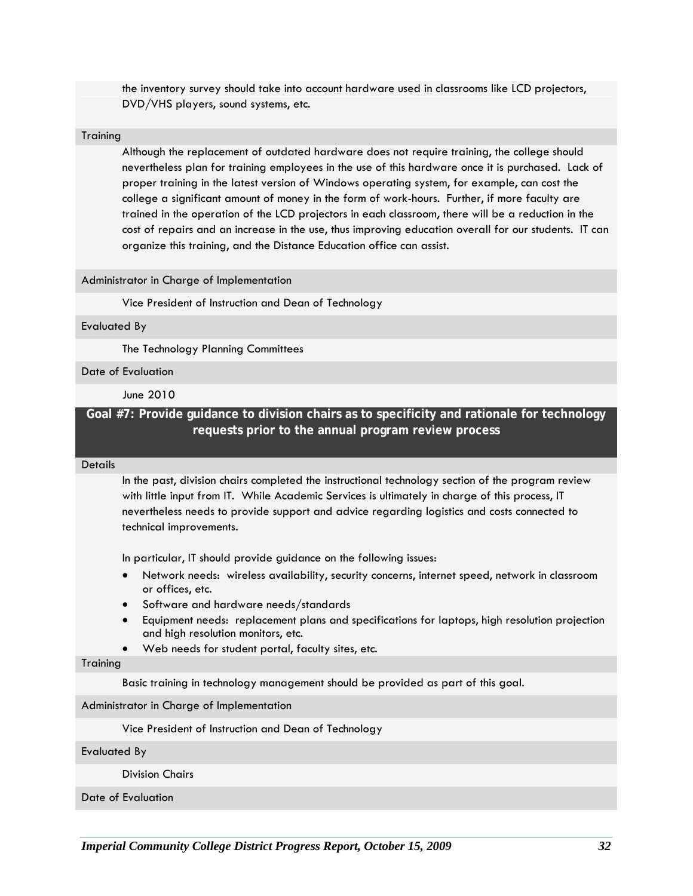the inventory survey should take into account hardware used in classrooms like LCD projectors, DVD/VHS players, sound systems, etc.

#### **Training**

Although the replacement of outdated hardware does not require training, the college should nevertheless plan for training employees in the use of this hardware once it is purchased. Lack of proper training in the latest version of Windows operating system, for example, can cost the college a significant amount of money in the form of work-hours. Further, if more faculty are trained in the operation of the LCD projectors in each classroom, there will be a reduction in the cost of repairs and an increase in the use, thus improving education overall for our students. IT can organize this training, and the Distance Education office can assist.

#### Administrator in Charge of Implementation

Vice President of Instruction and Dean of Technology

#### Evaluated By

The Technology Planning Committees

Date of Evaluation

June 2010

### **Goal #7: Provide guidance to division chairs as to specificity and rationale for technology requests prior to the annual program review process**

#### **Details**

In the past, division chairs completed the instructional technology section of the program review with little input from IT. While Academic Services is ultimately in charge of this process, IT nevertheless needs to provide support and advice regarding logistics and costs connected to technical improvements.

In particular, IT should provide guidance on the following issues:

- Network needs: wireless availability, security concerns, internet speed, network in classroom or offices, etc.
- Software and hardware needs/standards
- Equipment needs: replacement plans and specifications for laptops, high resolution projection and high resolution monitors, etc.
- Web needs for student portal, faculty sites, etc.

#### **Training**

Basic training in technology management should be provided as part of this goal.

Administrator in Charge of Implementation

Vice President of Instruction and Dean of Technology

Evaluated By

Division Chairs

Date of Evaluation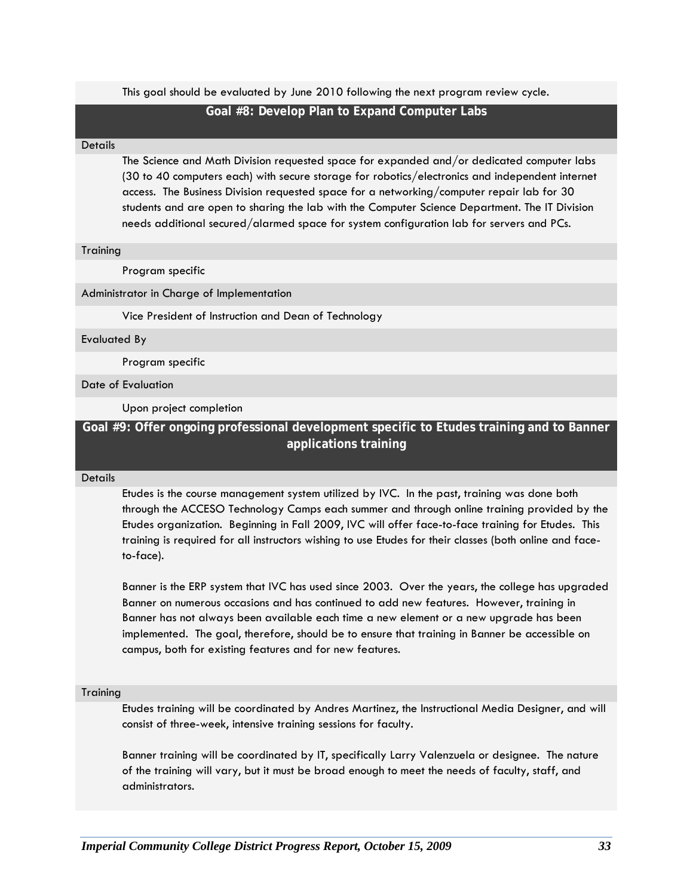This goal should be evaluated by June 2010 following the next program review cycle.

#### **Goal #8: Develop Plan to Expand Computer Labs**

#### **Details**

The Science and Math Division requested space for expanded and/or dedicated computer labs (30 to 40 computers each) with secure storage for robotics/electronics and independent internet access. The Business Division requested space for a networking/computer repair lab for 30 students and are open to sharing the lab with the Computer Science Department. The IT Division needs additional secured/alarmed space for system configuration lab for servers and PCs.

#### **Training**

Program specific

#### Administrator in Charge of Implementation

Vice President of Instruction and Dean of Technology

Evaluated By

Program specific

#### Date of Evaluation

Upon project completion

### **Goal #9: Offer ongoing professional development specific to Etudes training and to Banner applications training**

#### **Details**

Etudes is the course management system utilized by IVC. In the past, training was done both through the ACCESO Technology Camps each summer and through online training provided by the Etudes organization. Beginning in Fall 2009, IVC will offer face-to-face training for Etudes. This training is required for all instructors wishing to use Etudes for their classes (both online and faceto-face).

Banner is the ERP system that IVC has used since 2003. Over the years, the college has upgraded Banner on numerous occasions and has continued to add new features. However, training in Banner has not always been available each time a new element or a new upgrade has been implemented. The goal, therefore, should be to ensure that training in Banner be accessible on campus, both for existing features and for new features.

#### **Training**

Etudes training will be coordinated by Andres Martinez, the Instructional Media Designer, and will consist of three-week, intensive training sessions for faculty.

Banner training will be coordinated by IT, specifically Larry Valenzuela or designee. The nature of the training will vary, but it must be broad enough to meet the needs of faculty, staff, and administrators.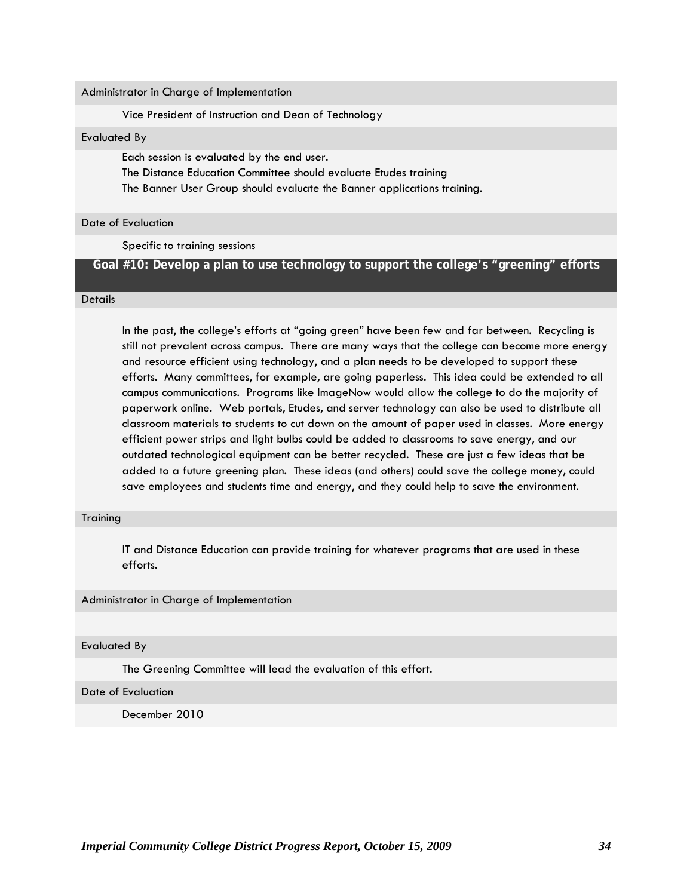Administrator in Charge of Implementation

Vice President of Instruction and Dean of Technology

Evaluated By

Each session is evaluated by the end user.

The Distance Education Committee should evaluate Etudes training

The Banner User Group should evaluate the Banner applications training.

Date of Evaluation

Specific to training sessions

### **Goal #10: Develop a plan to use technology to support the college's "greening" efforts**

#### **Details**

In the past, the college's efforts at "going green" have been few and far between. Recycling is still not prevalent across campus. There are many ways that the college can become more energy and resource efficient using technology, and a plan needs to be developed to support these efforts. Many committees, for example, are going paperless. This idea could be extended to all campus communications. Programs like ImageNow would allow the college to do the majority of paperwork online. Web portals, Etudes, and server technology can also be used to distribute all classroom materials to students to cut down on the amount of paper used in classes. More energy efficient power strips and light bulbs could be added to classrooms to save energy, and our outdated technological equipment can be better recycled. These are just a few ideas that be added to a future greening plan. These ideas (and others) could save the college money, could save employees and students time and energy, and they could help to save the environment.

#### **Training**

IT and Distance Education can provide training for whatever programs that are used in these efforts.

Administrator in Charge of Implementation

Evaluated By

The Greening Committee will lead the evaluation of this effort.

Date of Evaluation

December 2010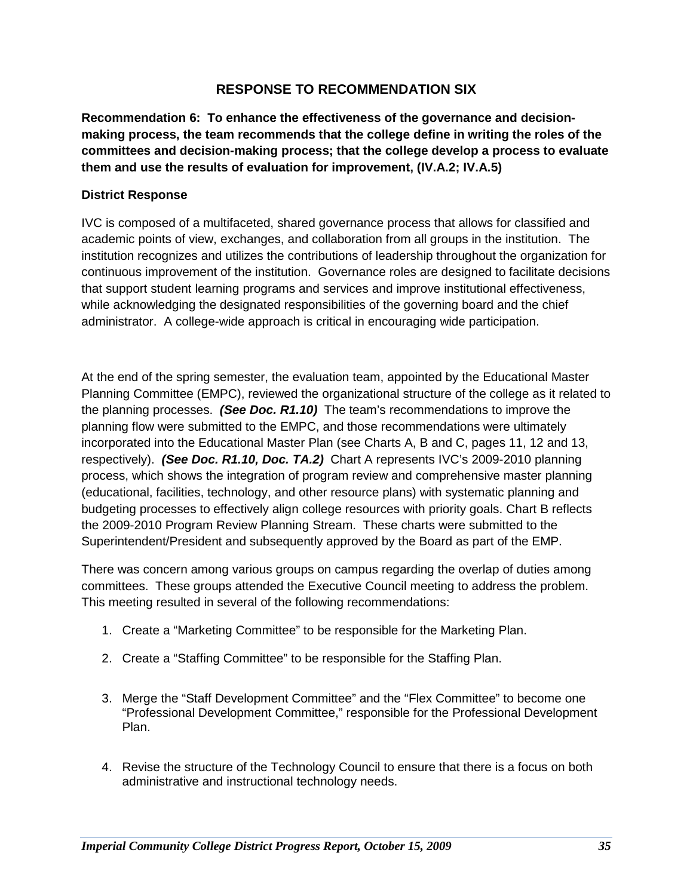### **RESPONSE TO RECOMMENDATION SIX**

**Recommendation 6: To enhance the effectiveness of the governance and decisionmaking process, the team recommends that the college define in writing the roles of the committees and decision-making process; that the college develop a process to evaluate them and use the results of evaluation for improvement, (IV.A.2; IV.A.5)**

### **District Response**

IVC is composed of a multifaceted, shared governance process that allows for classified and academic points of view, exchanges, and collaboration from all groups in the institution. The institution recognizes and utilizes the contributions of leadership throughout the organization for continuous improvement of the institution. Governance roles are designed to facilitate decisions that support student learning programs and services and improve institutional effectiveness, while acknowledging the designated responsibilities of the governing board and the chief administrator. A college-wide approach is critical in encouraging wide participation.

At the end of the spring semester, the evaluation team, appointed by the Educational Master Planning Committee (EMPC), reviewed the organizational structure of the college as it related to the planning processes. *(See Doc. R1.10)* The team's recommendations to improve the planning flow were submitted to the EMPC, and those recommendations were ultimately incorporated into the Educational Master Plan (see Charts A, B and C, pages 11, 12 and 13, respectively). *(See Doc. R1.10, Doc. TA.2)* Chart A represents IVC's 2009-2010 planning process, which shows the integration of program review and comprehensive master planning (educational, facilities, technology, and other resource plans) with systematic planning and budgeting processes to effectively align college resources with priority goals. Chart B reflects the 2009-2010 Program Review Planning Stream. These charts were submitted to the Superintendent/President and subsequently approved by the Board as part of the EMP.

There was concern among various groups on campus regarding the overlap of duties among committees. These groups attended the Executive Council meeting to address the problem. This meeting resulted in several of the following recommendations:

- 1. Create a "Marketing Committee" to be responsible for the Marketing Plan.
- 2. Create a "Staffing Committee" to be responsible for the Staffing Plan.
- 3. Merge the "Staff Development Committee" and the "Flex Committee" to become one "Professional Development Committee," responsible for the Professional Development Plan.
- 4. Revise the structure of the Technology Council to ensure that there is a focus on both administrative and instructional technology needs.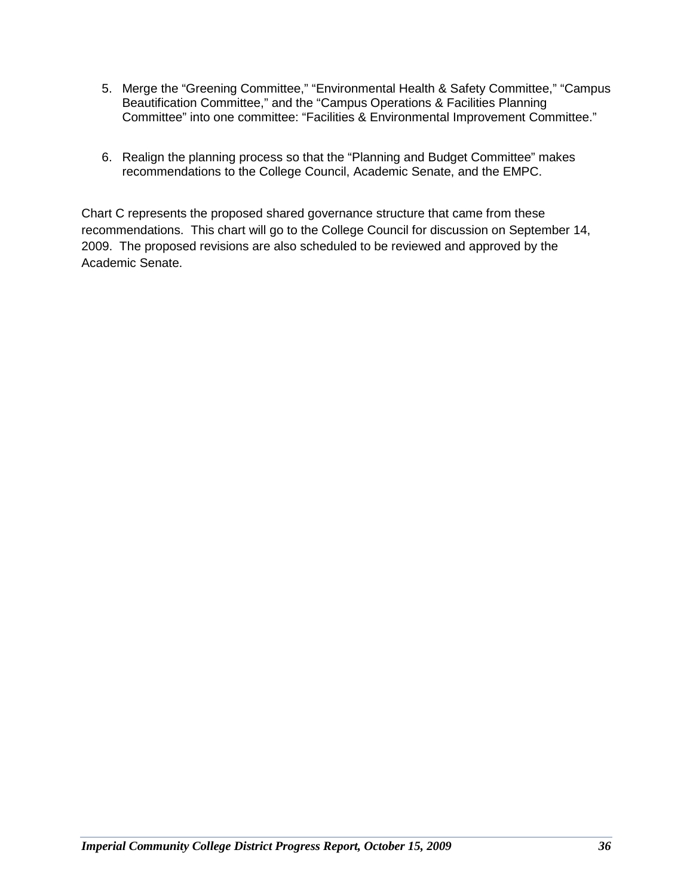- 5. Merge the "Greening Committee," "Environmental Health & Safety Committee," "Campus Beautification Committee," and the "Campus Operations & Facilities Planning Committee" into one committee: "Facilities & Environmental Improvement Committee."
- 6. Realign the planning process so that the "Planning and Budget Committee" makes recommendations to the College Council, Academic Senate, and the EMPC.

Chart C represents the proposed shared governance structure that came from these recommendations. This chart will go to the College Council for discussion on September 14, 2009. The proposed revisions are also scheduled to be reviewed and approved by the Academic Senate.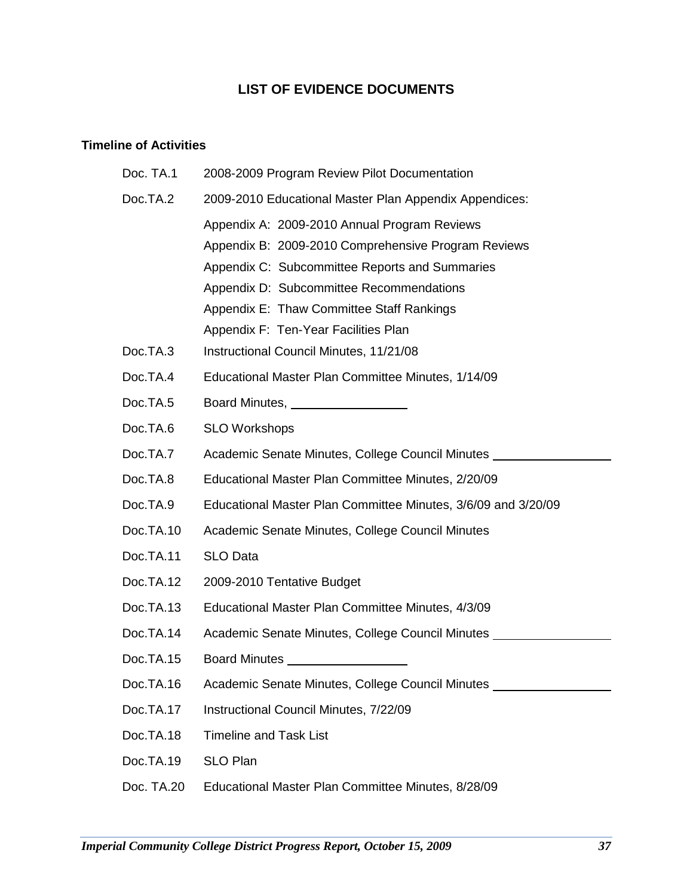### **LIST OF EVIDENCE DOCUMENTS**

### **Timeline of Activities**

| Doc. TA.1  | 2008-2009 Program Review Pilot Documentation                                     |
|------------|----------------------------------------------------------------------------------|
| Doc.TA.2   | 2009-2010 Educational Master Plan Appendix Appendices:                           |
|            | Appendix A: 2009-2010 Annual Program Reviews                                     |
|            | Appendix B: 2009-2010 Comprehensive Program Reviews                              |
|            | Appendix C: Subcommittee Reports and Summaries                                   |
|            | Appendix D: Subcommittee Recommendations                                         |
|            | Appendix E: Thaw Committee Staff Rankings                                        |
|            | Appendix F: Ten-Year Facilities Plan                                             |
| Doc.TA.3   | Instructional Council Minutes, 11/21/08                                          |
| Doc.TA.4   | Educational Master Plan Committee Minutes, 1/14/09                               |
| Doc.TA.5   | Board Minutes, ___________________                                               |
| Doc.TA.6   | <b>SLO Workshops</b>                                                             |
| Doc.TA.7   | Academic Senate Minutes, College Council Minutes                                 |
| Doc.TA.8   | Educational Master Plan Committee Minutes, 2/20/09                               |
| Doc.TA.9   | Educational Master Plan Committee Minutes, 3/6/09 and 3/20/09                    |
| Doc.TA.10  | Academic Senate Minutes, College Council Minutes                                 |
| Doc.TA.11  | <b>SLO Data</b>                                                                  |
| Doc.TA.12  | 2009-2010 Tentative Budget                                                       |
| Doc.TA.13  | Educational Master Plan Committee Minutes, 4/3/09                                |
| Doc.TA.14  | Academic Senate Minutes, College Council Minutes _____                           |
| Doc.TA.15  | <b>Board Minutes <i>Board</i></b>                                                |
| Doc.TA.16  | Academic Senate Minutes, College Council Minutes _______________________________ |
| Doc.TA.17  | Instructional Council Minutes, 7/22/09                                           |
| Doc.TA.18  | <b>Timeline and Task List</b>                                                    |
| Doc.TA.19  | <b>SLO Plan</b>                                                                  |
| Doc. TA.20 | Educational Master Plan Committee Minutes, 8/28/09                               |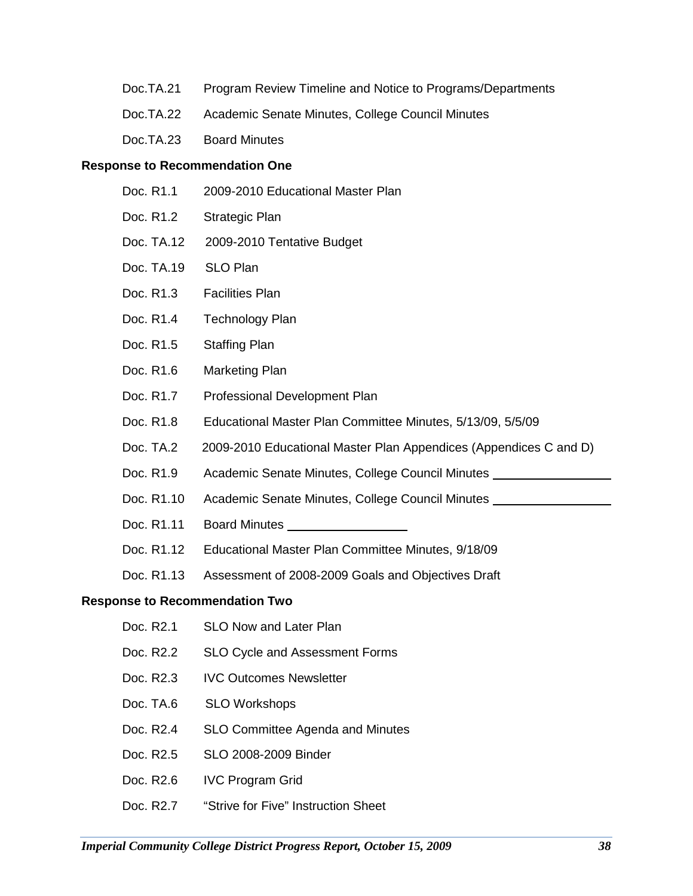- Doc.TA.21 Program Review Timeline and Notice to Programs/Departments
- Doc.TA.22 Academic Senate Minutes, College Council Minutes
- Doc.TA.23 Board Minutes

#### **Response to Recommendation One**

- Doc. R1.1 2009-2010 Educational Master Plan
- Doc. R1.2 Strategic Plan
- Doc. TA.12 2009-2010 Tentative Budget
- Doc. TA.19 SLO Plan
- Doc. R1.3 Facilities Plan
- Doc. R1.4 Technology Plan
- Doc. R1.5 Staffing Plan
- Doc. R1.6 Marketing Plan
- Doc. R1.7 Professional Development Plan
- Doc. R1.8 Educational Master Plan Committee Minutes, 5/13/09, 5/5/09
- Doc. TA.2 2009-2010 Educational Master Plan Appendices (Appendices C and D)
- Doc. R1.9 Academic Senate Minutes, College Council Minutes
- Doc. R1.10 Academic Senate Minutes, College Council Minutes
- Doc. R1.11 Board Minutes
- Doc. R1.12 Educational Master Plan Committee Minutes, 9/18/09
- Doc. R1.13 Assessment of 2008-2009 Goals and Objectives Draft

#### **Response to Recommendation Two**

- Doc. R2.1 SLO Now and Later Plan Doc. R2.2 SLO Cycle and Assessment Forms Doc. R2.3 IVC Outcomes Newsletter Doc. TA.6 SLO Workshops Doc. R2.4 SLO Committee Agenda and Minutes Doc. R2.5 SLO 2008-2009 Binder Doc. R2.6 IVC Program Grid Doc. R2.7 "Strive for Five" Instruction Sheet
- *Imperial Community College District Progress Report, October 15, 2009 38*